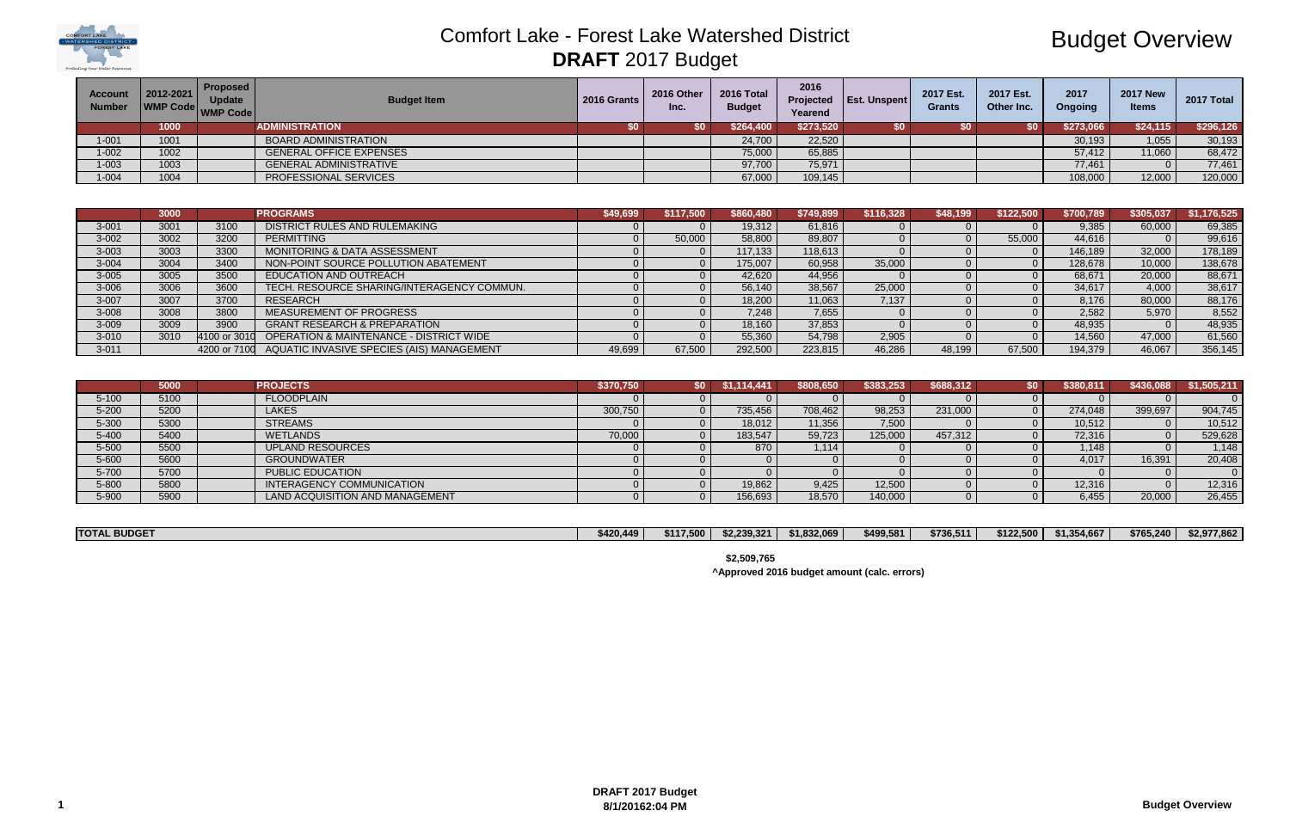

# Budget Overview

| <b>Account</b><br><b>Number</b> | 2012-2021<br>WMP Code WMP Code | <b>Proposed</b><br><b>Update</b> | <b>Budget Item</b>             | 2016 Grants | 2016 Other<br>Inc. | 2016 Total<br><b>Budget</b> | 2016<br>Yearend | Projected   Est. Unspent | 2017 Est.<br><b>Grants</b> | 2017 Est.<br>Other Inc. | 2017<br>Ongoing | <b>2017 New</b><br><b>Items</b> | 2017 Total |
|---------------------------------|--------------------------------|----------------------------------|--------------------------------|-------------|--------------------|-----------------------------|-----------------|--------------------------|----------------------------|-------------------------|-----------------|---------------------------------|------------|
|                                 | 1000                           |                                  | <b>ADMINISTRATION</b>          |             | <b>SO</b> 1        | \$264,400                   | \$273,520       |                          |                            | \$0                     | \$273,066       | \$24,115                        | \$296,126  |
| $-001$                          | 1001                           |                                  | <b>BOARD ADMINISTRATION</b>    |             |                    | 24,700                      | 22,520          |                          |                            |                         | 30,193          | 1,055                           | 30,193     |
| $1 - 002$                       | 1002                           |                                  | <b>GENERAL OFFICE EXPENSES</b> |             |                    | 75,000                      | 65,885          |                          |                            |                         | 57,412          | 11,060                          | 68,472     |
| $1 - 003$                       | 1003                           |                                  | <b>GENERAL ADMINISTRATIVE</b>  |             |                    | 97,700                      | 75,971          |                          |                            |                         | 77,461          |                                 | 77,461     |
| $1 - 004$                       | 1004                           |                                  | PROFESSIONAL SERVICES          |             |                    | 67,000                      | 109,145         |                          |                            |                         | 108,000         | 12,000                          | 120,000    |

|           | 3000 |      | <b>PROGRAMS</b>                                        | \$49.699 | \$117.500 | \$860,480 | \$749,899 | \$116,328 | \$48,199 | \$122,500 | \$700,789 | \$305.037 | \$1,176,525 |
|-----------|------|------|--------------------------------------------------------|----------|-----------|-----------|-----------|-----------|----------|-----------|-----------|-----------|-------------|
| $3 - 001$ | 3001 | 3100 | DISTRICT RULES AND RULEMAKING                          |          |           | 19,312    | 61,816    |           |          |           | 9.385     | 60,000    | 69,385      |
| $3 - 002$ | 3002 | 3200 | <b>PERMITTING</b>                                      |          | 50,000    | 58,800    | 89,807    |           |          | 55,000    | 44,616    |           | 99,616      |
| $3 - 003$ | 3003 | 3300 | MONITORING & DATA ASSESSMENT                           |          |           | 17,133    | 118,613   |           |          |           | 146,189   | 32,000    | 178,189     |
| $3 - 004$ | 3004 | 3400 | NON-POINT SOURCE POLLUTION ABATEMENT                   |          |           | 175,007   | 60,958    | 35,000    |          |           | 128,678   | 10,000    | 138,678     |
| $3 - 005$ | 3005 | 3500 | EDUCATION AND OUTREACH                                 |          |           | 42,620    | 44,956    |           |          |           | 68,671    | 20,000    | 88,671      |
| $3 - 006$ | 3006 | 3600 | TECH. RESOURCE SHARING/INTERAGENCY COMMUN.             |          |           | 56,140    | 38,567    | 25,000    |          |           | 34,617    | 4,000     | 38,617      |
| $3 - 007$ | 3007 | 3700 | <b>RESEARCH</b>                                        |          |           | 18,200    | 11,063    | 7,137     |          |           | 8.176     | 80,000    | 88,176      |
| $3 - 008$ | 3008 | 3800 | MEASUREMENT OF PROGRESS                                |          |           | 7,248     | 7,655     |           |          |           | 2.582     | 5,970     | 8,552       |
| $3 - 009$ | 3009 | 3900 | <b>GRANT RESEARCH &amp; PREPARATION</b>                |          |           | 18,160    | 37,853    |           |          |           | 48,935    |           | 48,935      |
| 3-010     | 3010 |      | 4100 or 3010 OPERATION & MAINTENANCE - DISTRICT WIDE   |          |           | 55,360    | 54,798    | 2,905     |          |           | 14.560    | 47,000    | 61,560      |
| $3 - 011$ |      |      | 4200 or 7100 AQUATIC INVASIVE SPECIES (AIS) MANAGEMENT | 49.699   | 67.500    | 292,500   | 223,815   | 46,286    | 48.199   | 67.500    | 194.379   | 46.067    | 356,145     |

|           | 5000 | <b>PROJECTS</b>                 | \$370,750 | SO I | .114.441 | \$808,650 | \$383,253 | \$688,312 | \$0 | \$380,811 | \$436,088 | \$1,505,211 |
|-----------|------|---------------------------------|-----------|------|----------|-----------|-----------|-----------|-----|-----------|-----------|-------------|
| $5 - 100$ | 5100 | <b>FLOODPLAIN</b>               |           |      |          |           |           |           |     |           |           |             |
| $5 - 200$ | 5200 | <b>LAKES</b>                    | 300,750   |      | 735,456  | 708,462   | 98,253    | 231,000   |     | 274,048   | 399,697   | 904,745     |
| 5-300     | 5300 | <b>STREAMS</b>                  |           |      | 18.012   | 11,356    | 7,500     |           |     | 10,512    |           | 10,512      |
| $5 - 400$ | 5400 | <b>WETLANDS</b>                 | 70,000    |      | 183.547  | 59,723    | 125,000   | 457.312   |     | 72,316    |           | 529,628     |
| $5 - 500$ | 5500 | <b>UPLAND RESOURCES</b>         |           |      | 870      | 1,114     |           |           |     | 1,148     |           | 1,148       |
| $5 - 600$ | 5600 | <b>GROUNDWATER</b>              |           |      |          |           |           |           |     | 4.017     | 16,391    | 20,408      |
| 5-700     | 5700 | <b>PUBLIC EDUCATION</b>         |           |      |          |           |           |           |     |           |           |             |
| 5-800     | 5800 | INTERAGENCY COMMUNICATION       |           |      | 19,862   | 9,425     | 12,500    |           |     | 12,316    |           | 12,316      |
| 5-900     | 5900 | LAND ACQUISITION AND MANAGEMENT |           |      | 156,693  | 18,570    | 140,000   |           |     | 6.455     | 20,000    | 26,455      |

| <b>TOTAL BUDGET</b> | ا 420,449≰ | \$117,500 | \$2,239,321 | \$1,832,069 | \$499,581 | \$736,511 | \$122,500 | \$1,354,667 | \$765,240 | \$2,977,862 |
|---------------------|------------|-----------|-------------|-------------|-----------|-----------|-----------|-------------|-----------|-------------|

**\$2,509,765**

**^Approved 2016 budget amount (calc. errors)**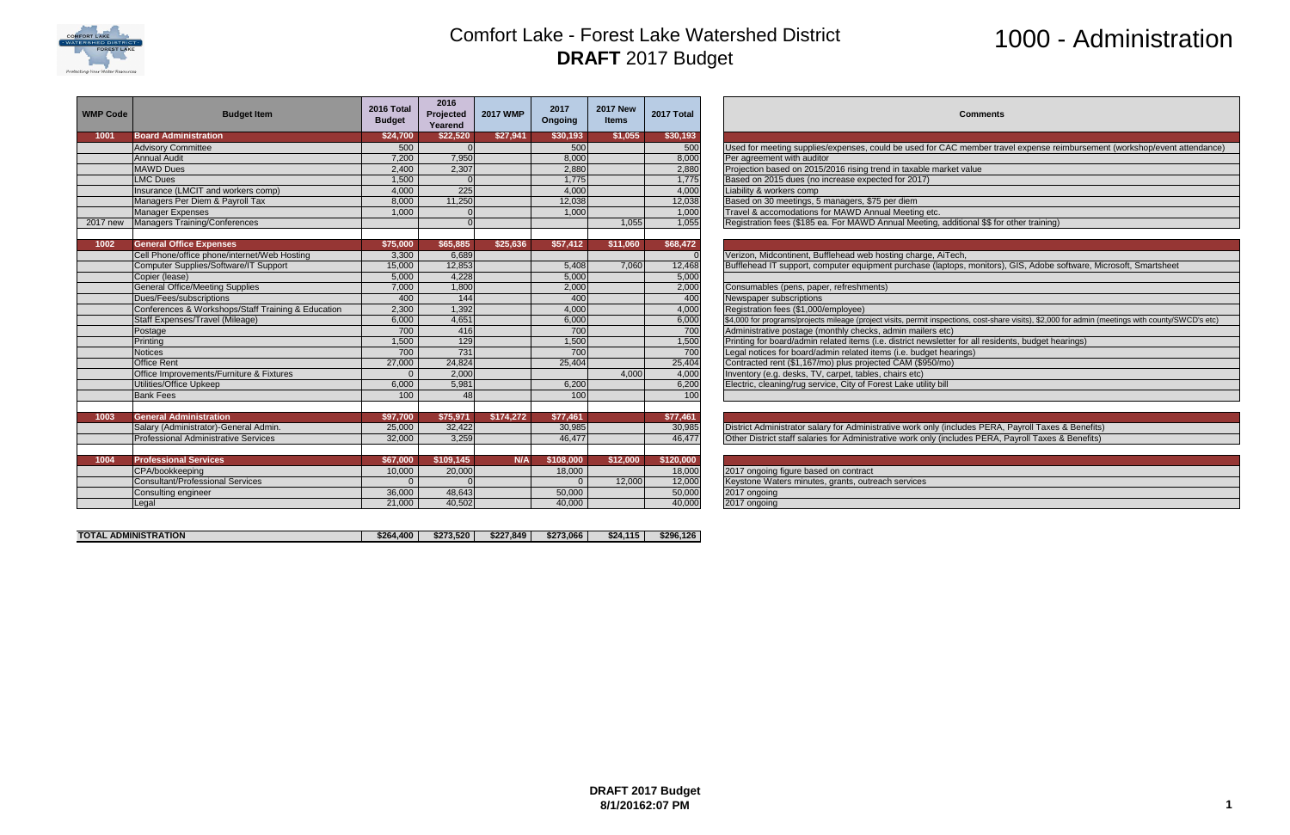

# 1000 - Administration

AC member travel expense reimbursement (workshop/event attendance)

tops, monitors), GIS, Adobe software, Microsoft, Smartsheet

ctions, cost-share visits), \$2,000 for admin (meetings with county/SWCD's etc)

| <b>WMP Code</b> | <b>Budget Item</b>                                 | 2016 Total<br><b>Budget</b> | 2016<br>Projected<br>Yearend | <b>2017 WMP</b> | 2017<br>Ongoing | <b>2017 New</b><br><b>Items</b> | 2017 Total | Comments                                                                                                            |
|-----------------|----------------------------------------------------|-----------------------------|------------------------------|-----------------|-----------------|---------------------------------|------------|---------------------------------------------------------------------------------------------------------------------|
| 1001            | <b>Board Administration</b>                        | \$24,700                    | \$22,520                     | \$27,941        | \$30,193        | \$1,055                         | \$30,193   |                                                                                                                     |
|                 | <b>Advisory Committee</b>                          | 500                         |                              |                 | 500             |                                 | 500        | Used for meeting supplies/expenses, could be used for CAC member travel expense reimburseme                         |
|                 | <b>Annual Audit</b>                                | 7,200                       | 7,950                        |                 | 8,000           |                                 | 8,000      | Per agreement with auditor                                                                                          |
|                 | <b>MAWD Dues</b>                                   | 2,400                       | 2,307                        |                 | 2,880           |                                 | 2,880      | Projection based on 2015/2016 rising trend in taxable market value                                                  |
|                 | <b>LMC Dues</b>                                    | 1,500                       |                              |                 | 1,775           |                                 | 1,775      | Based on 2015 dues (no increase expected for 2017)                                                                  |
|                 | Insurance (LMCIT and workers comp)                 | 4,000                       | 225                          |                 | 4,000           |                                 | 4,000      | Liability & workers comp                                                                                            |
|                 | Managers Per Diem & Payroll Tax                    | 8,000                       | 11,250                       |                 | 12,038          |                                 | 12,038     | Based on 30 meetings, 5 managers, \$75 per diem                                                                     |
|                 | <b>Manager Expenses</b>                            | 1,000                       |                              |                 | 1,000           |                                 | 1,000      | Travel & accomodations for MAWD Annual Meeting etc.                                                                 |
| 2017 new        | Managers Training/Conferences                      |                             |                              |                 |                 | 1,055                           | 1,055      | Registration fees (\$185 ea. For MAWD Annual Meeting, additional \$\$ for other training)                           |
|                 |                                                    |                             |                              |                 |                 |                                 |            |                                                                                                                     |
| 1002            | <b>General Office Expenses</b>                     | \$75,000                    | \$65,885                     | \$25,636        | \$57,412        | \$11,060                        | \$68,472   |                                                                                                                     |
|                 | Cell Phone/office phone/internet/Web Hosting       | 3,300                       | 6.689                        |                 |                 |                                 |            | Verizon, Midcontinent, Bufflehead web hosting charge, AiTech,                                                       |
|                 | Computer Supplies/Software/IT Support              | 15,000                      | 12,853                       |                 | 5,408           | 7,060                           | 12,468     | Bufflehead IT support, computer equipment purchase (laptops, monitors), GIS, Adobe software, Mi                     |
|                 | Copier (lease)                                     | 5,000                       | 4,228                        |                 | 5,000           |                                 | 5,000      |                                                                                                                     |
|                 | <b>General Office/Meeting Supplies</b>             | 7,000                       | 1,800                        |                 | 2,000           |                                 | 2,000      | Consumables (pens, paper, refreshments)                                                                             |
|                 | Dues/Fees/subscriptions                            | 400                         | 144                          |                 | 400             |                                 | 400        | Newspaper subscriptions                                                                                             |
|                 | Conferences & Workshops/Staff Training & Education | 2,300                       | 1,392                        |                 | 4,000           |                                 | 4,000      | Registration fees (\$1,000/employee)                                                                                |
|                 | Staff Expenses/Travel (Mileage)                    | 6,000                       | 4,651                        |                 | 6,000           |                                 | 6,000      | \$4,000 for programs/projects mileage (project visits, permit inspections, cost-share visits), \$2,000 for admin (n |
|                 | Postage                                            | 700                         | 416                          |                 | 700             |                                 | 700        | Administrative postage (monthly checks, admin mailers etc)                                                          |
|                 | Printing                                           | 1,500                       | 129                          |                 | 1,500           |                                 | 1,500      | Printing for board/admin related items (i.e. district newsletter for all residents, budget hearings)                |
|                 | <b>Notices</b>                                     | 700                         | 731                          |                 | 700             |                                 | 700        | Legal notices for board/admin related items (i.e. budget hearings)                                                  |
|                 | <b>Office Rent</b>                                 | 27,000                      | 24,824                       |                 | 25,404          |                                 | 25,404     | Contracted rent (\$1,167/mo) plus projected CAM (\$950/mo)                                                          |
|                 | Office Improvements/Furniture & Fixtures           |                             | 2,000                        |                 |                 | 4,000                           | 4,000      | Inventory (e.g. desks, TV, carpet, tables, chairs etc)                                                              |
|                 | Utilities/Office Upkeep                            | 6,000                       | 5,981                        |                 | 6,200           |                                 | 6,200      | Electric, cleaning/rug service, City of Forest Lake utility bill                                                    |
|                 | <b>Bank Fees</b>                                   | 100                         | 48                           |                 | 100             |                                 | 100        |                                                                                                                     |
|                 |                                                    |                             |                              |                 |                 |                                 |            |                                                                                                                     |
| 1003            | <b>General Administration</b>                      | \$97,700                    | \$75,971                     | \$174,272       | \$77,461        |                                 | \$77,461   |                                                                                                                     |
|                 | Salary (Administrator)-General Admin.              | 25,000                      | 32,422                       |                 | 30,985          |                                 | 30,985     | District Administrator salary for Administrative work only (includes PERA, Payroll Taxes & Benefits)                |
|                 | <b>Professional Administrative Services</b>        | 32,000                      | 3,259                        |                 | 46.477          |                                 | 46,477     | Other District staff salaries for Administrative work only (includes PERA, Payroll Taxes & Benefits)                |
|                 |                                                    |                             |                              |                 |                 |                                 |            |                                                                                                                     |
| 1004            | <b>Professional Services</b>                       | \$67,000                    | \$109,145                    | N/A             | \$108,000       | \$12,000                        | \$120,000  |                                                                                                                     |
|                 | CPA/bookkeeping                                    | 10,000                      | 20,000                       |                 | 18,000          |                                 | 18,000     | 2017 ongoing figure based on contract                                                                               |
|                 | <b>Consultant/Professional Services</b>            |                             |                              |                 |                 | 12,000                          | 12,000     | Keystone Waters minutes, grants, outreach services                                                                  |
|                 | Consulting engineer                                | 36,000                      | 48,643                       |                 | 50,000          |                                 | 50,000     | 2017 ongoing                                                                                                        |
|                 | Legal                                              | 21,000                      | 40,502                       |                 | 40,000          |                                 | 40,000     | 2017 ongoing                                                                                                        |
|                 |                                                    |                             |                              |                 |                 |                                 |            |                                                                                                                     |

| <b>TOTAL ADMINISTRATION</b> | \$264,400 | \$273.520 | \$227.849 | \$273,066 | \$24.115 | \$296.126 |
|-----------------------------|-----------|-----------|-----------|-----------|----------|-----------|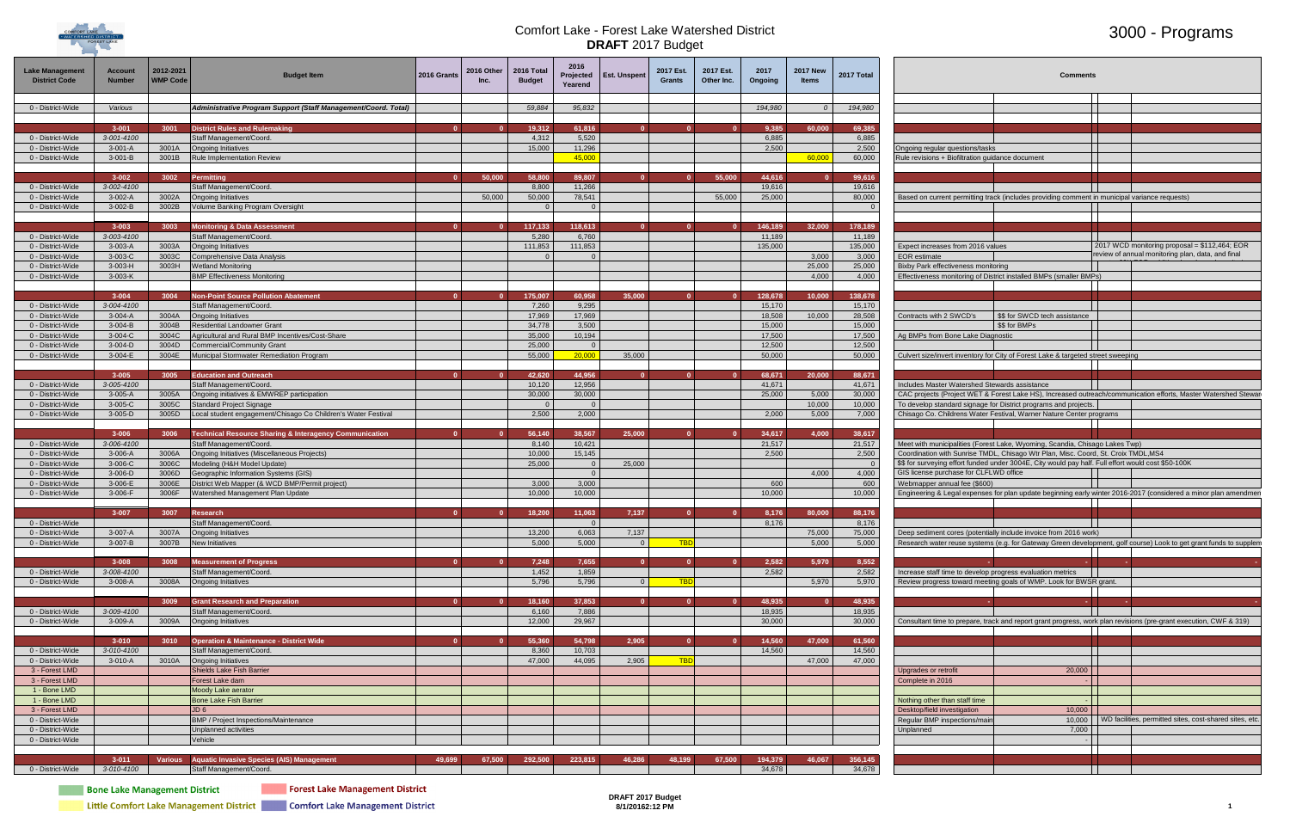

### 3000 - Programs

| <b>Lake Management</b><br><b>District Code</b> | <b>Account</b><br><b>Number</b> | 2012-2021<br><b>WMP Code</b> | Budget Item                                                                    | 2016 Grants | 2016 Other<br>Inc. | 2016 Total<br><b>Budget</b> | 2016<br>Projected<br>Yearend | Est. Unspent   | 2017 Est.<br>Grants | 2017 Est.<br>Other Inc. | 2017<br>Ongoing   | <b>2017 New</b><br><b>Items</b> | 2017 Total        | <b>Comments</b>                                                                                                                               |
|------------------------------------------------|---------------------------------|------------------------------|--------------------------------------------------------------------------------|-------------|--------------------|-----------------------------|------------------------------|----------------|---------------------|-------------------------|-------------------|---------------------------------|-------------------|-----------------------------------------------------------------------------------------------------------------------------------------------|
| 0 - District-Wide                              | Various                         |                              | Administrative Program Support (Staff Management/Coord. Total)                 |             |                    | 59,884                      | 95,832                       |                |                     |                         | 194,980           | $\Omega$                        | 194,980           |                                                                                                                                               |
|                                                |                                 |                              |                                                                                |             |                    |                             |                              |                |                     |                         |                   |                                 |                   |                                                                                                                                               |
|                                                | $3 - 001$                       | 3001                         | <b>District Rules and Rulemaking</b>                                           | $\Omega$    |                    | 19,312                      | 61,816                       | $\mathbf{0}$   |                     |                         | 9,385             | 60,000                          | 69,385            |                                                                                                                                               |
| 0 - District-Wide<br>0 - District-Wide         | 3-001-4100<br>$3-001-A$         | 3001A                        | Staff Management/Coord.<br><b>Ongoing Initiatives</b>                          |             |                    | 4,312<br>15,000             | 5,520<br>11,296              |                |                     |                         | 6,885<br>2,500    |                                 | 6,885<br>2,500    | Ongoing regular questions/tasks                                                                                                               |
| 0 - District-Wide                              | $3-001-B$                       | 3001B                        | Rule Implementation Review                                                     |             |                    |                             | 45,000                       |                |                     |                         |                   | 60,000                          | 60,000            | Rule revisions + Biofiltration guidance document                                                                                              |
|                                                |                                 |                              |                                                                                |             |                    |                             |                              |                |                     |                         |                   |                                 |                   |                                                                                                                                               |
| 0 - District-Wide                              | $3 - 002$<br>3-002-4100         | 3002                         | Permitting<br>Staff Management/Coord.                                          |             | 50,000             | 58,800<br>8,800             | 89,807<br>11,266             | $\mathbf{0}$   |                     | 55,000                  | 44,616<br>19,616  |                                 | 99,616<br>19,616  |                                                                                                                                               |
| 0 - District-Wide                              | $3-002-A$                       | 3002A                        | <b>Ongoing Initiatives</b>                                                     |             | 50,000             | 50,000                      | 78,541                       |                |                     | 55,000                  | 25,000            |                                 | 80,000            | Based on current permitting track (includes providing comment in municipal variance requests)                                                 |
| 0 - District-Wide                              | $3-002-B$                       | 3002B                        | /olume Banking Program Oversight                                               |             |                    | $\Omega$                    |                              |                |                     |                         |                   |                                 |                   |                                                                                                                                               |
|                                                | $3 - 003$                       | 3003                         | <b>Monitoring &amp; Data Assessment</b>                                        |             |                    | 117,133                     | 118,613                      |                |                     |                         | 146,189           | 32,000                          | 178,189           |                                                                                                                                               |
| 0 - District-Wide                              | 3-003-4100                      |                              | Staff Management/Coord.                                                        |             |                    | 5,280                       | 6,760                        |                |                     |                         | 11,189            |                                 | 11,189            |                                                                                                                                               |
| 0 - District-Wide                              | 3-003-A                         | 3003A                        | <b>Ongoing Initiatives</b>                                                     |             |                    | 111,853                     | 111,853                      |                |                     |                         | 135,000           |                                 | 135,000           | 2017 WCD monitoring proposal = \$112,464; EOR<br>Expect increases from 2016 values                                                            |
| 0 - District-Wide<br>0 - District-Wide         | 3-003-C<br>$3-003-H$            | 3003C<br>3003H               | Comprehensive Data Analysis<br><b>Vetland Monitoring</b>                       |             |                    |                             |                              |                |                     |                         |                   | 3,000<br>25,000                 | 3,000<br>25,000   | review of annual monitoring plan, data, and final<br><b>EOR</b> estimate<br>Bixby Park effectiveness monitoring                               |
| 0 - District-Wide                              | 3-003-K                         |                              | <b>BMP Effectiveness Monitoring</b>                                            |             |                    |                             |                              |                |                     |                         |                   | 4,000                           | 4,000             | Effectiveness monitoring of District installed BMPs (smaller BMPs)                                                                            |
|                                                |                                 |                              |                                                                                |             |                    |                             |                              |                |                     |                         |                   |                                 |                   |                                                                                                                                               |
| 0 - District-Wide                              | $3 - 004$<br>3-004-4100         | 3004                         | <b>Non-Point Source Pollution Abatement</b><br>Staff Management/Coord.         |             |                    | 175,007<br>7,260            | 60,958<br>9,295              | 35,000         |                     |                         | 128,678<br>15,170 | 10,000                          | 138,678<br>15,170 |                                                                                                                                               |
| 0 - District-Wide                              | $3-004-A$                       | 3004A                        | Ongoing Initiatives                                                            |             |                    | 17,969                      | 17,969                       |                |                     |                         | 18,508            | 10,000                          | 28,508            | Contracts with 2 SWCD's<br>\$\$ for SWCD tech assistance                                                                                      |
| 0 - District-Wide                              | $3-004-B$                       | 3004B                        | <b>Residential Landowner Grant</b>                                             |             |                    | 34,778                      | 3,500                        |                |                     |                         | 15,000            |                                 | 15,000            | \$\$ for BMPs                                                                                                                                 |
| 0 - District-Wide<br>0 - District-Wide         | $3-004-C$<br>$3-004-D$          | 3004C<br>3004D               | Agricultural and Rural BMP Incentives/Cost-Share<br>Commercial/Community Grant |             |                    | 35,000<br>25,000            | 10,194<br>$\overline{0}$     |                |                     |                         | 17,500<br>12,500  |                                 | 17,500<br>12,500  | Ag BMPs from Bone Lake Diagnostic                                                                                                             |
| 0 - District-Wide                              | 3-004-E                         | 3004E                        | Municipal Stormwater Remediation Program                                       |             |                    | 55,000                      | 20,000                       | 35,000         |                     |                         | 50,000            |                                 | 50,000            | Culvert size/invert inventory for City of Forest Lake & targeted street sweeping                                                              |
|                                                |                                 |                              |                                                                                |             |                    |                             |                              |                |                     |                         |                   |                                 |                   |                                                                                                                                               |
|                                                | $3 - 005$                       | 3005                         | <b>Education and Outreach</b>                                                  | $\Omega$    |                    | 42,620<br>10,120            | 44,956<br>12,956             | $\mathbf{0}$   | $\Omega$            |                         | 68,671            | 20,000                          | 88,671<br>41,671  | Includes Master Watershed Stewards assistance                                                                                                 |
| 0 - District-Wide<br>0 - District-Wide         | 3-005-4100<br>$3-005-A$         | 3005A                        | Staff Management/Coord.<br>Ongoing initiatives & EMWREP participation          |             |                    | 30,000                      | 30,000                       |                |                     |                         | 41,671<br>25,000  | 5,000                           | 30,000            | CAC projects (Project WET & Forest Lake HS), Increased outreach/communication efforts, Master Watershed Stewa                                 |
| 0 - District-Wide                              | 3-005-C                         | 3005C                        | Standard Project Signage                                                       |             |                    |                             |                              |                |                     |                         |                   | 10,000                          | 10,000            | To develop standard signage for District programs and projects.                                                                               |
| 0 - District-Wide                              | $3-005-D$                       | 3005D                        | ocal student engagement/Chisago Co Children's Water Festival                   |             |                    | 2,500                       | 2,000                        |                |                     |                         | 2,000             | 5,000                           | 7,000             | Chisago Co. Childrens Water Festival, Warner Nature Center programs                                                                           |
|                                                | $3 - 006$                       | 3006                         | <b>Technical Resource Sharing &amp; Interagency Communication</b>              |             |                    | 56,140                      | 38,567                       | 25,000         |                     |                         | 34,617            | 4.000                           | 38,617            |                                                                                                                                               |
| 0 - District-Wide                              | 3-006-4100                      |                              | Staff Management/Coord.                                                        |             |                    | 8,140                       | 10,421                       |                |                     |                         | 21,517            |                                 | 21,517            | Meet with municipalities (Forest Lake, Wyoming, Scandia, Chisago Lakes Twp)                                                                   |
| 0 - District-Wide                              | 3-006-A                         | 3006A                        | Ongoing Initiatives (Miscellaneous Projects)                                   |             |                    | 10,000                      | 15,145                       |                |                     |                         | 2,500             |                                 | 2,500             | Coordination with Sunrise TMDL, Chisago Wtr Plan, Misc. Coord, St. Croix TMDL, MS4                                                            |
| 0 - District-Wide<br>0 - District-Wide         | 3-006-C<br>$3-006-D$            | 3006C<br>3006D               | Modeling (H&H Model Update)<br>Geographic Information Systems (GIS)            |             |                    | 25,000                      | $\bigcirc$                   | 25,000         |                     |                         |                   | 4,000                           | 4,000             | \$\$ for surveying effort funded under 3004E, City would pay half. Full effort would cost \$50-100K<br>GIS license purchase for CLFLWD office |
| 0 - District-Wide                              | 3-006-E                         | 3006E                        | District Web Mapper (& WCD BMP/Permit project)                                 |             |                    | 3,000                       | 3,000                        |                |                     |                         | 600               |                                 | 600               | Webmapper annual fee (\$600)                                                                                                                  |
| 0 - District-Wide                              | 3-006-F                         | 3006F                        | Vatershed Management Plan Update                                               |             |                    | 10,000                      | 10,000                       |                |                     |                         | 10,000            |                                 | 10,000            | Engineering & Legal expenses for plan update beginning early winter 2016-2017 (considered a minor plan amendmer                               |
|                                                | $3 - 007$                       | 3007                         | <b>Research</b>                                                                | $\Omega$    |                    | 18,200                      | 11,063                       | 7,137          |                     |                         | 8,176             | 80,000                          | 88,176            |                                                                                                                                               |
| 0 - District-Wide                              |                                 |                              | Staff Management/Coord                                                         |             |                    |                             |                              |                |                     |                         | 8,176             |                                 | 8,176             |                                                                                                                                               |
| 0 - District-Wide                              | 3-007-A                         | 3007A                        | Ongoing Initiatives                                                            |             |                    | 13,200                      | 6,063                        | 7,137          |                     |                         |                   | 75,000                          | 75,000            | Deep sediment cores (potentially include invoice from 2016 work)                                                                              |
| 0 - District-Wide                              | 3-007-B                         | 3007B                        | <b>New Initiatives</b>                                                         |             |                    | 5,000                       | 5,000                        | $\overline{0}$ | <b>TBD</b>          |                         |                   | 5,000                           | 5,000             | Research water reuse systems (e.g. for Gateway Green development, golf course) Look to get grant funds to supplem                             |
|                                                | $3 - 008$                       | 3008                         | <b>Measurement of Progress</b>                                                 |             |                    | 7,248                       | 7,655                        |                |                     |                         | 2,582             | 5,970                           | 8,552             |                                                                                                                                               |
| 0 - District-Wide                              | 3-008-4100                      |                              | Staff Management/Coord.                                                        |             |                    | 1,452                       | 1,859                        |                |                     |                         | 2,582             |                                 | 2,582             | Increase staff time to develop progress evaluation metrics                                                                                    |
| 0 - District-Wide                              | 3-008-A                         | 3008A                        | Ongoing Initiatives                                                            |             |                    | 5,796                       | 5,796                        | $\overline{0}$ | <b>TBD</b>          |                         |                   | 5,970                           | 5,970             | Review progress toward meeting goals of WMP. Look for BWSR grant.                                                                             |
|                                                |                                 | 3009                         | <b>Grant Research and Preparation</b>                                          |             |                    | 18,160                      | 37,853                       | $\mathbf{0}$   |                     |                         | 48,935            |                                 | 48,935            | <b>Service</b>                                                                                                                                |
| 0 - District-Wide                              | 3-009-4100                      |                              | Staff Management/Coord.                                                        |             |                    | 6,160                       | 7,886<br>29,967              |                |                     |                         | 18,935<br>30,000  |                                 | 18,935<br>30,000  |                                                                                                                                               |
| 0 - District-Wide                              | 3-009-A                         | 3009A                        | <b>Ongoing Initiatives</b>                                                     |             |                    | 12,000                      |                              |                |                     |                         |                   |                                 |                   | Consultant time to prepare, track and report grant progress, work plan revisions (pre-grant execution, CWF & 319)                             |
|                                                | $3 - 010$                       | 3010                         | <b>Operation &amp; Maintenance - District Wide</b>                             |             |                    | 55,360                      | 54,798                       | 2,905          |                     |                         | 14,560            | 47,000                          | 61,560            |                                                                                                                                               |
| 0 - District-Wide                              | 3-010-4100                      |                              | Staff Management/Coord.                                                        |             |                    | 8,360                       | 10,703                       |                |                     |                         | 14,560            |                                 | 14,560            |                                                                                                                                               |
| 0 - District-Wide<br>3 - Forest LMD            | 3-010-A                         | 3010A                        | <b>Ongoing Initiatives</b><br>Shields Lake Fish Barrier                        |             |                    | 47,000                      | 44,095                       | 2,905          | <b>TBD</b>          |                         |                   | 47,000                          | 47,000            | 20,000<br>Upgrades or retrofit                                                                                                                |
| 3 - Forest LMD                                 |                                 |                              | Forest Lake dam                                                                |             |                    |                             |                              |                |                     |                         |                   |                                 |                   | Complete in 2016                                                                                                                              |
| 1 - Bone LMD                                   |                                 |                              | <b>Moody Lake aerator</b>                                                      |             |                    |                             |                              |                |                     |                         |                   |                                 |                   |                                                                                                                                               |
| 1 - Bone LMD<br>3 - Forest LMD                 |                                 |                              | <b>Bone Lake Fish Barrier</b><br>JD <sub>6</sub>                               |             |                    |                             |                              |                |                     |                         |                   |                                 |                   | Nothing other than staff time<br>Desktop/field investigation<br>10,000                                                                        |
| 0 - District-Wide                              |                                 |                              | <b>BMP / Project Inspections/Maintenance</b>                                   |             |                    |                             |                              |                |                     |                         |                   |                                 |                   | Regular BMP inspections/mai<br>10,000<br>WD facilities, permitted sites, cost-shared sites, etc.                                              |
| 0 - District-Wide                              |                                 |                              | Unplanned activities                                                           |             |                    |                             |                              |                |                     |                         |                   |                                 |                   | 7,000<br>Unplanned                                                                                                                            |
| 0 - District-Wide                              |                                 |                              | Vehicle                                                                        |             |                    |                             |                              |                |                     |                         |                   |                                 |                   |                                                                                                                                               |
|                                                | $3 - 011$                       |                              | Various Aquatic Invasive Species (AIS) Management                              | 49,699      | 67,500             | 292,500                     | 223,815                      | 46,286         | 48,199              | 67,500                  | 194,379           | 46,067                          | 356,145           |                                                                                                                                               |
| 0 - District-Wide                              | 3-010-4100                      |                              | Staff Management/Coord.                                                        |             |                    |                             |                              |                |                     |                         | 34,678            |                                 | 34,678            |                                                                                                                                               |

**EXECUTE: Bone Lake Management District** 

**The Forest Lake Management District** 

|                                                                                                                                                                                           | <b>Comments</b>                                                                               |   |                                                                                                                   |
|-------------------------------------------------------------------------------------------------------------------------------------------------------------------------------------------|-----------------------------------------------------------------------------------------------|---|-------------------------------------------------------------------------------------------------------------------|
|                                                                                                                                                                                           |                                                                                               |   |                                                                                                                   |
|                                                                                                                                                                                           |                                                                                               |   |                                                                                                                   |
|                                                                                                                                                                                           |                                                                                               |   |                                                                                                                   |
| Ongoing regular questions/tasks                                                                                                                                                           |                                                                                               |   |                                                                                                                   |
| Rule revisions + Biofiltration guidance document                                                                                                                                          |                                                                                               |   |                                                                                                                   |
|                                                                                                                                                                                           |                                                                                               |   |                                                                                                                   |
|                                                                                                                                                                                           | Based on current permitting track (includes providing comment in municipal variance requests) |   |                                                                                                                   |
|                                                                                                                                                                                           |                                                                                               |   |                                                                                                                   |
|                                                                                                                                                                                           |                                                                                               |   |                                                                                                                   |
|                                                                                                                                                                                           |                                                                                               |   |                                                                                                                   |
| Expect increases from 2016 values<br><b>EOR</b> estimate                                                                                                                                  |                                                                                               |   | 2017 WCD monitoring proposal = \$112,464; EOR<br>review of annual monitoring plan, data, and final                |
| Bixby Park effectiveness monitoring                                                                                                                                                       |                                                                                               |   |                                                                                                                   |
|                                                                                                                                                                                           | Effectiveness monitoring of District installed BMPs (smaller BMPs)                            |   |                                                                                                                   |
|                                                                                                                                                                                           |                                                                                               |   |                                                                                                                   |
| Contracts with 2 SWCD's                                                                                                                                                                   | \$\$ for SWCD tech assistance                                                                 |   |                                                                                                                   |
|                                                                                                                                                                                           | \$\$ for BMPs                                                                                 |   |                                                                                                                   |
| Ag BMPs from Bone Lake Diagnostic                                                                                                                                                         |                                                                                               |   |                                                                                                                   |
| Culvert size/invert inventory for City of Forest Lake & targeted street sweeping                                                                                                          |                                                                                               |   |                                                                                                                   |
|                                                                                                                                                                                           |                                                                                               |   |                                                                                                                   |
| Includes Master Watershed Stewards assistance                                                                                                                                             |                                                                                               |   |                                                                                                                   |
| To develop standard signage for District programs and projects.                                                                                                                           |                                                                                               |   | CAC projects (Project WET & Forest Lake HS), Increased outreach/communication efforts, Master Watershed Stewar    |
|                                                                                                                                                                                           | Chisago Co. Childrens Water Festival, Warner Nature Center programs                           |   |                                                                                                                   |
|                                                                                                                                                                                           |                                                                                               |   |                                                                                                                   |
| Meet with municipalities (Forest Lake, Wyoming, Scandia, Chisago Lakes Twp)                                                                                                               |                                                                                               |   |                                                                                                                   |
| Coordination with Sunrise TMDL, Chisago Wtr Plan, Misc. Coord, St. Croix TMDL, MS4<br>\$\$ for surveying effort funded under 3004E, City would pay half. Full effort would cost \$50-100K |                                                                                               |   |                                                                                                                   |
| GIS license purchase for CLFLWD office                                                                                                                                                    |                                                                                               |   |                                                                                                                   |
| Webmapper annual fee (\$600)                                                                                                                                                              |                                                                                               |   | Engineering & Legal expenses for plan update beginning early winter 2016-2017 (considered a minor plan amendmen   |
|                                                                                                                                                                                           |                                                                                               |   |                                                                                                                   |
|                                                                                                                                                                                           |                                                                                               |   |                                                                                                                   |
| Deep sediment cores (potentially include invoice from 2016 work)                                                                                                                          |                                                                                               |   |                                                                                                                   |
|                                                                                                                                                                                           |                                                                                               |   | Research water reuse systems (e.g. for Gateway Green development, golf course) Look to get grant funds to supplem |
|                                                                                                                                                                                           | ٠                                                                                             | ÷ |                                                                                                                   |
| Increase staff time to develop progress evaluation metrics                                                                                                                                | Review progress toward meeting goals of WMP. Look for BWSR grant.                             |   |                                                                                                                   |
|                                                                                                                                                                                           |                                                                                               |   |                                                                                                                   |
| ÷                                                                                                                                                                                         | ä,                                                                                            |   |                                                                                                                   |
|                                                                                                                                                                                           |                                                                                               |   | Consultant time to prepare, track and report grant progress, work plan revisions (pre-grant execution, CWF & 319) |
|                                                                                                                                                                                           |                                                                                               |   |                                                                                                                   |
|                                                                                                                                                                                           |                                                                                               |   |                                                                                                                   |
| Upgrades or retrofit                                                                                                                                                                      | 20,000                                                                                        |   |                                                                                                                   |
| Complete in 2016                                                                                                                                                                          |                                                                                               |   |                                                                                                                   |
| Nothing other than staff time                                                                                                                                                             |                                                                                               |   |                                                                                                                   |
| Desktop/field investigation                                                                                                                                                               | 10,000                                                                                        |   |                                                                                                                   |
| Regular BMP inspections/main<br>Unplanned                                                                                                                                                 | 10,000<br>7,000                                                                               |   | WD facilities, permitted sites, cost-shared sites, etc.                                                           |
|                                                                                                                                                                                           |                                                                                               |   |                                                                                                                   |
|                                                                                                                                                                                           |                                                                                               |   |                                                                                                                   |
|                                                                                                                                                                                           |                                                                                               |   |                                                                                                                   |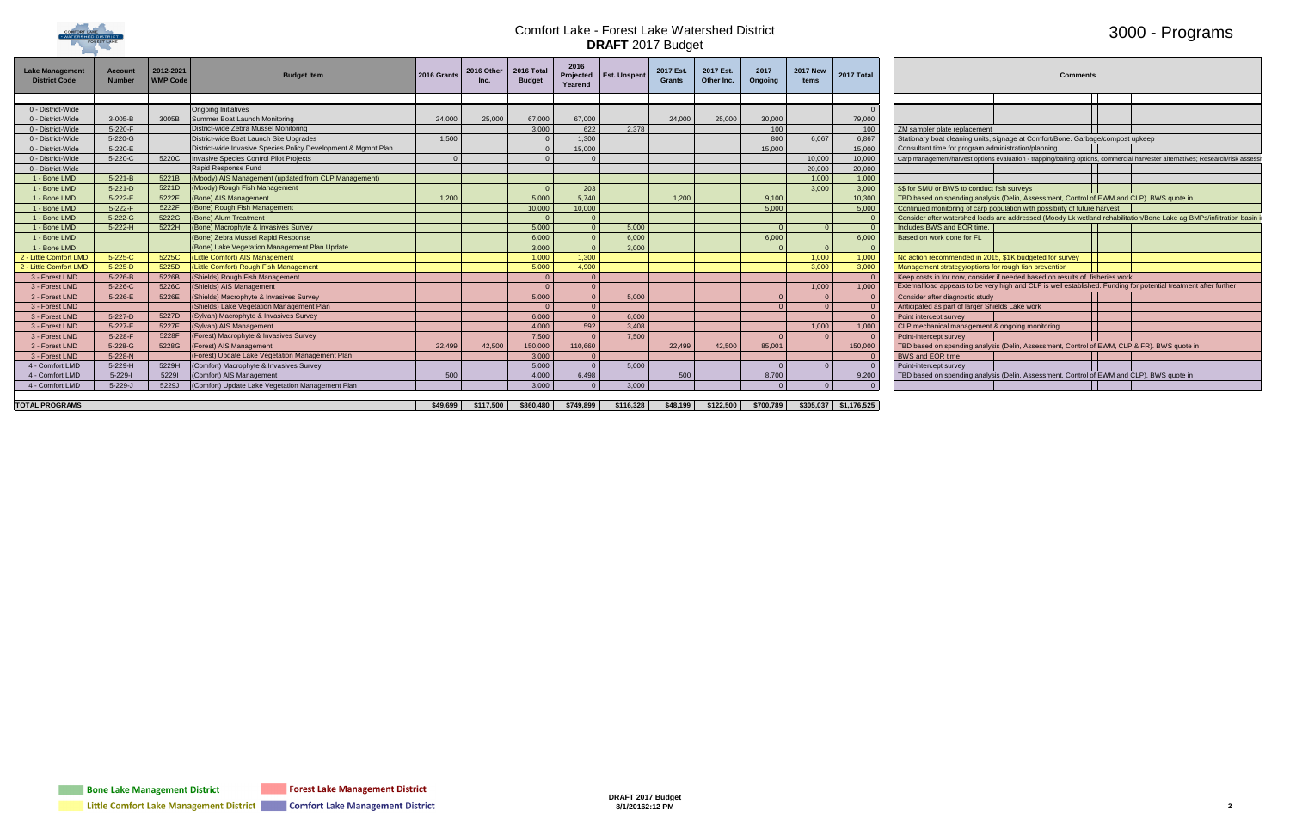

### 3000 - Programs

| 17 New<br><b>Items</b> | 2017 Total |                                                                                            | <b>Comments</b> |  |                                                                                                                                 |
|------------------------|------------|--------------------------------------------------------------------------------------------|-----------------|--|---------------------------------------------------------------------------------------------------------------------------------|
|                        |            |                                                                                            |                 |  |                                                                                                                                 |
|                        | $\Omega$   |                                                                                            |                 |  |                                                                                                                                 |
|                        | 79,000     |                                                                                            |                 |  |                                                                                                                                 |
|                        | 100        | ZM sampler plate replacement                                                               |                 |  |                                                                                                                                 |
| 6,067                  | 6,867      | Stationary boat cleaning units, signage at Comfort/Bone. Garbage/compost upkeep            |                 |  |                                                                                                                                 |
|                        | 15.000     | Consultant time for program administration/planning                                        |                 |  |                                                                                                                                 |
| 10,000                 | 10.000     |                                                                                            |                 |  | Carp management/harvest options evaluation - trapping/baiting options, commercial harvester alternatives; Research/risk assessr |
| 20,000                 | 20,000     |                                                                                            |                 |  |                                                                                                                                 |
| 1,000                  | 1,000      |                                                                                            |                 |  |                                                                                                                                 |
| 3,000                  | 3,000      | \$\$ for SMU or BWS to conduct fish surveys                                                |                 |  |                                                                                                                                 |
|                        | 10,300     | TBD based on spending analysis (Delin, Assessment, Control of EWM and CLP). BWS quote in   |                 |  |                                                                                                                                 |
|                        | 5,000      | Continued monitoring of carp population with possibility of future harvest                 |                 |  |                                                                                                                                 |
|                        |            |                                                                                            |                 |  | Consider after watershed loads are addressed (Moody Lk wetland rehabilitation/Bone Lake ag BMPs/infiltration basin i            |
| $\mathbf{0}$           | $\Omega$   | Includes BWS and EOR time.                                                                 |                 |  |                                                                                                                                 |
|                        | 6,000      | Based on work done for FL                                                                  |                 |  |                                                                                                                                 |
| $\Omega$               | $\Omega$   |                                                                                            |                 |  |                                                                                                                                 |
| 1,000                  | 1,000      | No action recommended in 2015, \$1K budgeted for survey                                    |                 |  |                                                                                                                                 |
| 3,000                  | 3,000      | Management strategy/options for rough fish prevention                                      |                 |  |                                                                                                                                 |
|                        | $\Omega$   | Keep costs in for now, consider if needed based on results of fisheries work               |                 |  |                                                                                                                                 |
| 1,000                  | 1,000      |                                                                                            |                 |  | External load appears to be very high and CLP is well established. Funding for potential treatment after further                |
| $\Omega$               | $\Omega$   | Consider after diagnostic study                                                            |                 |  |                                                                                                                                 |
| $\overline{0}$         | $\Omega$   | Anticipated as part of larger Shields Lake work                                            |                 |  |                                                                                                                                 |
|                        | $\Omega$   | Point intercept survey                                                                     |                 |  |                                                                                                                                 |
| 1,000                  | 1,000      | CLP mechanical management & ongoing monitoring                                             |                 |  |                                                                                                                                 |
| $\Omega$               | $\Omega$   | Point-intercept survey                                                                     |                 |  |                                                                                                                                 |
|                        | 150,000    | TBD based on spending analysis (Delin, Assessment, Control of EWM, CLP & FR). BWS quote in |                 |  |                                                                                                                                 |
|                        | $\Omega$   | <b>BWS and EOR time</b>                                                                    |                 |  |                                                                                                                                 |
| $\mathbf{0}$           | $\Omega$   | Point-intercept survey                                                                     |                 |  |                                                                                                                                 |
|                        | 9,200      | TBD based on spending analysis (Delin, Assessment, Control of EWM and CLP). BWS quote in   |                 |  |                                                                                                                                 |
| $\Omega$               | $\Omega$   |                                                                                            |                 |  |                                                                                                                                 |

| <b>Lake Manageme</b><br><b>District Code</b> | Account<br><b>Number</b> | $2012 - 2021$<br><b>WMP Code</b> | <b>Budget Item</b>                                             | 2016 Grants | 2016 Other | 2016 Total<br><b>Budget</b> | 2016<br>Projected<br>Yearend | Est. Unspent                                          | 2017 Est.<br><b>Grants</b> | 2017 Est.<br>Other Inc.                                 | 2017<br>Ongoing | <b>2017 New</b><br><b>Items</b> | 2017 Total | <b>Comments</b>                                                                                                                |
|----------------------------------------------|--------------------------|----------------------------------|----------------------------------------------------------------|-------------|------------|-----------------------------|------------------------------|-------------------------------------------------------|----------------------------|---------------------------------------------------------|-----------------|---------------------------------|------------|--------------------------------------------------------------------------------------------------------------------------------|
|                                              |                          |                                  |                                                                |             |            |                             |                              |                                                       |                            |                                                         |                 |                                 |            |                                                                                                                                |
| 0 - District-Wide                            |                          |                                  | <b>Ongoing Initiatives</b>                                     |             |            |                             |                              |                                                       |                            |                                                         |                 |                                 |            |                                                                                                                                |
| 0 - District-Wide                            | 3-005-B                  | 3005B                            | Summer Boat Launch Monitoring                                  | 24,000      | 25,000     | 67.000                      | 67.000                       |                                                       | 24.000                     | 25,000                                                  | 30,000          |                                 | 79,000     |                                                                                                                                |
| 0 - District-Wide                            | 5-220-F                  |                                  | District-wide Zebra Mussel Monitoring                          |             |            | 3.000                       | 622                          | 2,378                                                 |                            |                                                         | 100             |                                 | 100        | ZM sampler plate replacement                                                                                                   |
| 0 - District-Wide                            | 5-220-G                  |                                  | District-wide Boat Launch Site Upgrades                        | 1,500       |            |                             | 1.300                        |                                                       |                            |                                                         | 800             | 6.067                           | 6.867      | Stationary boat cleaning units, signage at Comfort/Bone. Garbage/compost upkeep                                                |
| 0 - District-Wide                            | 5-220-E                  |                                  | District-wide Invasive Species Policy Development & Mgmnt Plan |             |            |                             | 15,000                       |                                                       |                            |                                                         | 15.000          |                                 | 15,000     | Consultant time for program administration/planning                                                                            |
| 0 - District-Wide                            | 5-220-C                  |                                  | 5220C Invasive Species Control Pilot Projects                  |             |            |                             |                              |                                                       |                            |                                                         |                 | 10,000                          | 10,000     | Carp management/harvest options evaluation - trapping/baiting options, commercial harvester alternatives; Research/risk assess |
| 0 - District-Wide                            |                          |                                  | Rapid Response Fund                                            |             |            |                             |                              |                                                       |                            |                                                         |                 | 20,000                          | 20,000     |                                                                                                                                |
| 1 - Bone LMD                                 | $5 - 221 - B$            |                                  | 5221B (Moody) AIS Management (updated from CLP Management)     |             |            |                             |                              |                                                       |                            |                                                         |                 | 1.000                           | 1.000      |                                                                                                                                |
| 1 - Bone LMD                                 | $5 - 221 - D$            |                                  | 5221D (Moody) Rough Fish Management                            |             |            |                             | 203                          |                                                       |                            |                                                         |                 | 3.000                           | 3,000      | \$\$ for SMU or BWS to conduct fish surveys                                                                                    |
| 1 - Bone LMD                                 | 5-222-E                  |                                  | 5222E (Bone) AIS Management                                    | 1,200       |            | 5.000                       | 5,740                        |                                                       | 1,200                      |                                                         | 9,100           |                                 | 10,300     | TBD based on spending analysis (Delin, Assessment, Control of EWM and CLP). BWS quote in                                       |
| 1 - Bone LMD                                 | 5-222-F                  |                                  | 5222F (Bone) Rough Fish Management                             |             |            | 10.000                      | 10,000                       |                                                       |                            |                                                         | 5.000           |                                 | 5,000      | Continued monitoring of carp population with possibility of future harvest                                                     |
| 1 - Bone LMD                                 | 5-222-G                  |                                  | 5222G (Bone) Alum Treatment                                    |             |            |                             |                              |                                                       |                            |                                                         |                 |                                 |            | Consider after watershed loads are addressed (Moody Lk wetland rehabilitation/Bone Lake ag BMPs/infiltration basin             |
| 1 - Bone LMD                                 | $5 - 222 - H$            |                                  | 5222H (Bone) Macrophyte & Invasives Survey                     |             |            | 5.000                       |                              | 5,000                                                 |                            |                                                         |                 |                                 |            | Includes BWS and EOR time                                                                                                      |
| 1 - Bone LMD                                 |                          |                                  | (Bone) Zebra Mussel Rapid Response                             |             |            | 6.000                       |                              | 6,000                                                 |                            |                                                         | 6.000           |                                 | 6.000      | Based on work done for FL                                                                                                      |
| 1 - Bone LMD                                 |                          |                                  | (Bone) Lake Vegetation Management Plan Update                  |             |            | 3.000                       |                              | 3,000                                                 |                            |                                                         |                 |                                 |            |                                                                                                                                |
| 2 - Little Comfort LMD                       | 5-225-C                  |                                  | 5225C (Little Comfort) AIS Management                          |             |            | 1.000                       | 1,300                        |                                                       |                            |                                                         |                 | 1.000                           | 1.000      | No action recommended in 2015, \$1K budgeted for survey                                                                        |
| 2 - Little Comfort LMD                       | $5 - 225 - D$            |                                  | 5225D (Little Comfort) Rough Fish Management                   |             |            | 5.000                       | 4.900                        |                                                       |                            |                                                         |                 | 3.000                           | 3.000      | Management strategy/options for rough fish prevention                                                                          |
| 3 - Forest LMD                               | 5-226-B                  |                                  | 5226B (Shields) Rough Fish Management                          |             |            |                             |                              |                                                       |                            |                                                         |                 |                                 |            | Keep costs in for now, consider if needed based on results of fisheries work                                                   |
| 3 - Forest LMD                               | 5-226-C                  |                                  | 5226C (Shields) AIS Management                                 |             |            |                             |                              |                                                       |                            |                                                         |                 | 1,000                           | 1.000      | External load appears to be very high and CLP is well established. Funding for potential treatment after further               |
| 3 - Forest LMD                               | 5-226-E                  |                                  | 5226E (Shields) Macrophyte & Invasives Survey                  |             |            | 5.000                       |                              | 5,000                                                 |                            |                                                         |                 |                                 |            | Consider after diagnostic study                                                                                                |
| 3 - Forest LMD                               |                          |                                  | (Shields) Lake Vegetation Management Plan                      |             |            |                             |                              |                                                       |                            |                                                         |                 |                                 |            | Anticipated as part of larger Shields Lake work                                                                                |
| 3 - Forest LMD                               | 5-227-D                  |                                  | 5227D (Sylvan) Macrophyte & Invasives Survey                   |             |            | 6.000                       |                              | 6,000                                                 |                            |                                                         |                 |                                 |            | Point intercept survey                                                                                                         |
| 3 - Forest LMD                               | 5-227-E                  | 5227E                            | (Sylvan) AIS Management                                        |             |            | 4.000                       | 592                          | 3,408                                                 |                            |                                                         |                 | 1.000                           | 1.000      | CLP mechanical management & ongoing monitoring                                                                                 |
| 3 - Forest LMD                               | $5 - 228 - F$            |                                  | 5228F (Forest) Macrophyte & Invasives Survey                   |             |            | 7.500                       |                              | 7.500                                                 |                            |                                                         |                 |                                 |            | Point-intercept survey                                                                                                         |
| 3 - Forest LMD                               | 5-228-G                  | 5228G                            | (Forest) AIS Management                                        | 22,499      | 42,500     | 150,000                     | 110.660                      |                                                       | 22.499                     | 42,500                                                  | 85,001          |                                 | 150,000    | TBD based on spending analysis (Delin, Assessment, Control of EWM, CLP & FR). BWS quote in                                     |
| 3 - Forest LMD                               | 5-228-N                  |                                  | (Forest) Update Lake Vegetation Management Plan                |             |            | 3,000                       |                              |                                                       |                            |                                                         |                 |                                 |            | <b>BWS and EOR time</b>                                                                                                        |
| 4 - Comfort LMD                              | 5-229-H                  |                                  | 5229H (Comfort) Macrophyte & Invasives Survey                  |             |            | 5.000                       |                              | 5,000                                                 |                            |                                                         |                 |                                 |            | Point-intercept survey                                                                                                         |
| 4 - Comfort LMD                              | $5 - 229 - 1$            | 52291                            | (Comfort) AIS Management                                       | 500         |            | 4.000                       | 6.498                        |                                                       | 500                        |                                                         | 8,700           |                                 | 9,200      | TBD based on spending analysis (Delin, Assessment, Control of EWM and CLP). BWS quote in                                       |
| 4 - Comfort LMD                              | $5 - 229 - J$            |                                  | 5229J (Comfort) Update Lake Vegetation Management Plan         |             |            | 3,000                       |                              | 3,000                                                 |                            |                                                         |                 |                                 |            |                                                                                                                                |
|                                              |                          |                                  |                                                                |             |            |                             |                              |                                                       |                            |                                                         |                 |                                 |            |                                                                                                                                |
| <b>TOTAL PROGRAMS</b>                        |                          |                                  |                                                                |             |            |                             |                              | $$49,699$ $$117,500$ $$860,480$ $$749,899$ $$116,328$ |                            | $$48,199$ $$122,500$ $$700,789$ $$305,037$ $$1,176,525$ |                 |                                 |            |                                                                                                                                |
|                                              |                          |                                  |                                                                |             |            |                             |                              |                                                       |                            |                                                         |                 |                                 |            |                                                                                                                                |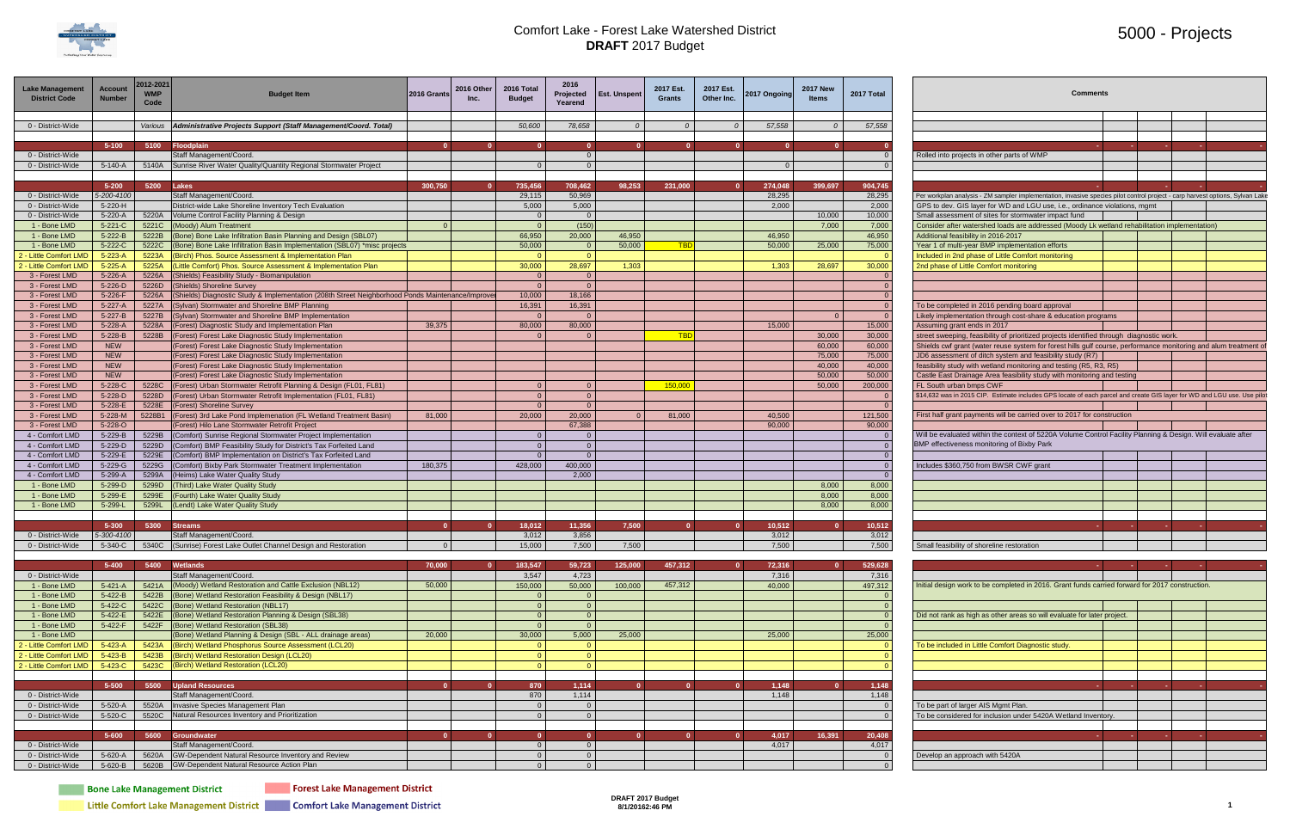

### 5000 - Projects

| <b>Lake Management</b><br><b>District Code</b> | <b>Account</b><br>Number | 2012-2021<br>Code | Budget Item                                                                                                                           | 2016 Grants    | 2016 Other | <b>2016 Tota</b><br><b>Budget</b> | 2016<br>Projected<br>Yearend     | <b>Est. Unspent</b> | 2017 Est.<br>Grants | 2017 Est.<br>Other Inc. | 2017 Ongoing    | <b>2017 New</b> | 2017 Total       | <b>Comments</b>                                                                                                                                                                                              |
|------------------------------------------------|--------------------------|-------------------|---------------------------------------------------------------------------------------------------------------------------------------|----------------|------------|-----------------------------------|----------------------------------|---------------------|---------------------|-------------------------|-----------------|-----------------|------------------|--------------------------------------------------------------------------------------------------------------------------------------------------------------------------------------------------------------|
| 0 - District-Wide                              |                          |                   | Various   Administrative Projects Support (Staff Management/Coord. Total)                                                             |                |            | 50,600                            | 78,658                           |                     |                     |                         | 57,558          |                 | 57,558           |                                                                                                                                                                                                              |
|                                                | $5 - 100$                |                   | 5100 Floodplain                                                                                                                       |                |            |                                   |                                  |                     |                     |                         |                 |                 |                  |                                                                                                                                                                                                              |
| 0 - District-Wide                              |                          |                   | Staff Management/Coord.                                                                                                               |                |            |                                   |                                  |                     |                     |                         |                 |                 |                  | Rolled into projects in other parts of WMP                                                                                                                                                                   |
| 0 - District-Wide                              | 5-140-A                  |                   | 5140A Sunrise River Water Quality/Quantity Regional Stormwater Project                                                                |                |            |                                   |                                  |                     |                     |                         |                 |                 |                  |                                                                                                                                                                                                              |
|                                                |                          |                   |                                                                                                                                       |                |            |                                   |                                  |                     |                     |                         |                 |                 |                  |                                                                                                                                                                                                              |
|                                                | $5 - 200$                | 5200 Lakes        |                                                                                                                                       | 300,750        |            | 735,456                           | 708,462                          | 98,253              | 231,000             |                         | 274,048         | 399,697         | 904,745          |                                                                                                                                                                                                              |
| 0 - District-Wide                              | 5-200-4100               |                   | Staff Management/Coord                                                                                                                |                |            | 29,115                            | 50,969                           |                     |                     |                         | 28,295          |                 | 28,295           | Per workplan analysis - ZM sampler implementation, invasive species pilot control project - carp harvest options, Sylvan Lake                                                                                |
| 0 - District-Wide                              | 5-220-H                  |                   | District-wide Lake Shoreline Inventory Tech Evaluation                                                                                |                |            | 5,000                             | 5,000                            |                     |                     |                         | 2,000           |                 | 2,000            | GPS to dev. GIS layer for WD and LGU use, i.e., ordinance violations, mgmt                                                                                                                                   |
| 0 - District-Wide<br>1 - Bone LMD              | 5-220-A<br>$5 - 221 - C$ |                   | 5220A   Volume Control Facility Planning & Design<br>5221C (Moody) Alum Treatment                                                     |                |            | - 0                               | $\Omega$<br>(150)                |                     |                     |                         |                 | 10,000<br>7,000 | 10,000<br>7,000  | Small assessment of sites for stormwater impact fund<br>Consider after watershed loads are addressed (Moody Lk wetland rehabilitation implementation)                                                        |
| 1 - Bone LMD                                   | $5 - 222 - B$            |                   | 5222B (Bone) Bone Lake Infiltration Basin Planning and Design (SBL07)                                                                 |                |            | 66,950                            | 20,000                           | 46.950              |                     |                         | 46,950          |                 | 46,950           | Additional feasibility in 2016-2017                                                                                                                                                                          |
| 1 - Bone LMD                                   | $5 - 222 - C$            |                   | 5222C (Bone) Bone Lake Infiltration Basin Implementation (SBL07) *misc projects                                                       |                |            | 50,000                            |                                  | 50,000              |                     |                         | 50,000          | 25,000          | 75,000           | Year 1 of multi-year BMP implementation efforts                                                                                                                                                              |
| 2 - Little Comfort LMD                         | $5 - 223 - A$            |                   | 5223A (Birch) Phos. Source Assessment & Implementation Plan                                                                           |                |            |                                   |                                  |                     |                     |                         |                 |                 |                  | Included in 2nd phase of Little Comfort monitoring                                                                                                                                                           |
| 2 - Little Comfort LMD                         | 5-225-A                  |                   | 5225A  (Little Comfort) Phos. Source Assessment & Implementation Plan                                                                 |                |            | 30,000                            | 28,697                           | 1,303               |                     |                         | 1,303           | 28,697          | 30,000           | 2nd phase of Little Comfort monitoring                                                                                                                                                                       |
| 3 - Forest LMD                                 | 5-226-A                  |                   | 5226A (Shields) Feasibility Study - Biomanipulation                                                                                   |                |            |                                   |                                  |                     |                     |                         |                 |                 |                  |                                                                                                                                                                                                              |
| 3 - Forest LMD                                 | 5-226-D                  |                   | 5226D (Shields) Shoreline Survey                                                                                                      |                |            |                                   |                                  |                     |                     |                         |                 |                 |                  |                                                                                                                                                                                                              |
| 3 - Forest LMD                                 | $5 - 226 - F$            |                   | 5226A (Shields) Diagnostic Study & Implementation (208th Street Neighborhood Ponds Maintenance/Improve                                |                |            | 10,000                            | 18,166                           |                     |                     |                         |                 |                 |                  |                                                                                                                                                                                                              |
| 3 - Forest LMD                                 | 5-227-A                  |                   | 5227A (Sylvan) Stormwater and Shoreline BMP Planning                                                                                  |                |            | 16,391                            | 16,391                           |                     |                     |                         |                 |                 |                  | To be completed in 2016 pending board approval                                                                                                                                                               |
| 3 - Forest LMD                                 | $5 - 227 - B$            |                   | 5227B (Sylvan) Stormwater and Shoreline BMP Implementation                                                                            |                |            |                                   |                                  |                     |                     |                         |                 |                 |                  | Likely implementation through cost-share & education programs                                                                                                                                                |
| 3 - Forest LMD                                 | 5-228-A<br>5-228-B       |                   | 5228A (Forest) Diagnostic Study and Implementation Plan                                                                               | 39,375         |            | 80.000                            | 80,000                           |                     | <b>TBD</b>          |                         | 15,000          | 30,000          | 15,000<br>30,000 | Assuming grant ends in 2017                                                                                                                                                                                  |
| 3 - Forest LMD<br>3 - Forest LMD               | <b>NEW</b>               |                   | 5228B (Forest) Forest Lake Diagnostic Study Implementation<br>(Forest) Forest Lake Diagnostic Study Implementation                    |                |            |                                   |                                  |                     |                     |                         |                 | 60,000          | 60,000           | street sweeping, feasibility of prioritized projects identified through diagnostic work.<br>Shields cwf grant (water reuse system for forest hills gulf course, performance monitoring and alum treatment of |
| 3 - Forest LMD                                 | <b>NEW</b>               |                   | (Forest) Forest Lake Diagnostic Study Implementation                                                                                  |                |            |                                   |                                  |                     |                     |                         |                 | 75,000          | 75,000           | JD6 assessment of ditch system and feasibility study (R7)                                                                                                                                                    |
| 3 - Forest LMD                                 | <b>NEW</b>               |                   | (Forest) Forest Lake Diagnostic Study Implementation                                                                                  |                |            |                                   |                                  |                     |                     |                         |                 | 40,000          | 40,000           | feasibility study with wetland monitoring and testing (R5, R3, R5)                                                                                                                                           |
| 3 - Forest LMD                                 | <b>NEW</b>               |                   | (Forest) Forest Lake Diagnostic Study Implementation                                                                                  |                |            |                                   |                                  |                     |                     |                         |                 | 50,000          | 50,000           | Castle East Drainage Area feasibility study with monitoring and testing                                                                                                                                      |
| 3 - Forest LMD                                 | 5-228-C                  |                   | 5228C   (Forest) Urban Stormwater Retrofit Planning & Design (FL01, FL81)                                                             |                |            |                                   |                                  |                     | 150,000             |                         |                 | 50,000          | 200,000          | FL South urban bmps CWF                                                                                                                                                                                      |
| 3 - Forest LMD                                 | 5-228-D                  |                   | 5228D (Forest) Urban Stormwater Retrofit Implementation (FL01, FL81)                                                                  |                |            | $\sqrt{ }$                        |                                  |                     |                     |                         |                 |                 |                  | \$14,632 was in 2015 CIP. Estimate includes GPS locate of each parcel and create GIS layer for WD and LGU use. Use pilo                                                                                      |
| 3 - Forest LMD                                 | 5-228-E                  |                   | 5228E (Forest) Shoreline Survey                                                                                                       |                |            |                                   |                                  |                     |                     |                         |                 |                 |                  |                                                                                                                                                                                                              |
| 3 - Forest LMD                                 | 5-228-M                  |                   | 5228B1 (Forest) 3rd Lake Pond Implemenation (FL Wetland Treatment Basin)                                                              | 81,000         |            | 20,000                            | 20,000                           |                     | 81,000              |                         | 40,500          |                 | 121,500          | First half grant payments will be carried over to 2017 for construction                                                                                                                                      |
| 3 - Forest LMD                                 | $5 - 228 - O$            |                   | (Forest) Hilo Lane Stormwater Retrofit Project                                                                                        |                |            |                                   | 67,388                           |                     |                     |                         | 90,000          |                 | 90,000           |                                                                                                                                                                                                              |
| 4 - Comfort LMD                                | 5-229-B                  |                   | 5229B (Comfort) Sunrise Regional Stormwater Project Implementation                                                                    |                |            |                                   |                                  |                     |                     |                         |                 |                 |                  | Will be evaluated within the context of 5220A Volume Control Facility Planning & Design. Will evaluate after                                                                                                 |
| 4 - Comfort LMD                                | 5-229-D<br>5-229-E       |                   | 5229D (Comfort) BMP Feasibility Study for District's Tax Forfeited Land                                                               |                |            | $\Omega$<br>$\Omega$              | $\overline{0}$<br>$\overline{0}$ |                     |                     |                         |                 |                 |                  | BMP effectiveness monitoring of Bixby Park                                                                                                                                                                   |
| 4 - Comfort LMD<br>4 - Comfort LMD             | 5-229-G                  |                   | 5229E (Comfort) BMP Implementation on District's Tax Forfeited Land<br>5229G (Comfort) Bixby Park Stormwater Treatment Implementation | 180,375        |            | 428,000                           | 400,000                          |                     |                     |                         |                 |                 |                  | Includes \$360,750 from BWSR CWF grant                                                                                                                                                                       |
| 4 - Comfort LMD                                | 5-299-A                  |                   | 5299A (Heims) Lake Water Quality Study                                                                                                |                |            |                                   | 2,000                            |                     |                     |                         |                 |                 |                  |                                                                                                                                                                                                              |
| 1 - Bone LMD                                   | 5-299-D                  |                   | 5299D (Third) Lake Water Quality Study                                                                                                |                |            |                                   |                                  |                     |                     |                         |                 | 8,000           | 8,000            |                                                                                                                                                                                                              |
| 1 - Bone LMD                                   | 5-299-E                  |                   | 5299E (Fourth) Lake Water Quality Study                                                                                               |                |            |                                   |                                  |                     |                     |                         |                 | 8,000           | 8,000            |                                                                                                                                                                                                              |
| 1 - Bone LMD                                   | 5-299-L                  |                   | 5299L (Lendt) Lake Water Quality Study                                                                                                |                |            |                                   |                                  |                     |                     |                         |                 | 8,000           | 8,000            |                                                                                                                                                                                                              |
|                                                |                          |                   |                                                                                                                                       |                |            |                                   |                                  |                     |                     |                         |                 |                 |                  |                                                                                                                                                                                                              |
|                                                | $5 - 300$                |                   | 5300 Streams                                                                                                                          |                |            | 18,012                            | 11,356                           | 7,500               |                     |                         | 10,512          |                 | 10,512           |                                                                                                                                                                                                              |
| 0 - District-Wide                              | 5-300-4100               |                   | Staff Management/Coord.                                                                                                               |                |            | 3,012                             | 3,856                            |                     |                     |                         | 3,012           |                 | 3,012            |                                                                                                                                                                                                              |
| 0 - District-Wide                              |                          |                   | 5-340-C S340C (Sunrise) Forest Lake Outlet Channel Design and Restoration                                                             | $\overline{0}$ |            | 15.000                            | 7.500                            | 7.500               |                     |                         | 7.500           |                 | 7.500            | Small feasibility of shoreline restoration                                                                                                                                                                   |
|                                                |                          |                   |                                                                                                                                       |                |            |                                   |                                  |                     |                     |                         |                 |                 |                  |                                                                                                                                                                                                              |
| 0 - District-Wide                              | 5-400                    |                   | 5400 Wetlands<br>Staff Management/Coord.                                                                                              | 70,000         |            | 183,547<br>3,547                  | 59,723<br>4,723                  | 125,000             | 457,312             |                         | 72,316<br>7,316 |                 | 529,628<br>7,316 |                                                                                                                                                                                                              |
| 1 - Bone LMD                                   | $5 - 421 - A$            |                   | 5421A (Moody) Wetland Restoration and Cattle Exclusion (NBL12)                                                                        | 50,000         |            | 150,000                           | 50,000                           | 100,000             | 457,312             |                         | 40.000          |                 | 497,312          | Initial design work to be completed in 2016. Grant funds carried forward for 2017 construction.                                                                                                              |
| 1 - Bone LMD                                   | 5-422-B                  |                   | 5422B (Bone) Wetland Restoration Feasibility & Design (NBL17)                                                                         |                |            |                                   |                                  |                     |                     |                         |                 |                 |                  |                                                                                                                                                                                                              |
| 1 - Bone LMD                                   | 5-422-C                  |                   | 5422C (Bone) Wetland Restoration (NBL17)                                                                                              |                |            |                                   | <u>റ</u>                         |                     |                     |                         |                 |                 |                  |                                                                                                                                                                                                              |
| 1 - Bone LMD                                   | 5-422-E                  |                   | 5422E (Bone) Wetland Restoration Planning & Design (SBL38)                                                                            |                |            | <u>__</u>                         | $\overline{0}$                   |                     |                     |                         |                 |                 |                  | Did not rank as high as other areas so will evaluate for later project.                                                                                                                                      |
| 1 - Bone LMD                                   | 5-422-F                  |                   | 5422F (Bone) Wetland Restoration (SBL38)                                                                                              |                |            | <u>ິດ</u>                         |                                  |                     |                     |                         |                 |                 |                  |                                                                                                                                                                                                              |
| 1 - Bone LMD                                   |                          |                   | (Bone) Wetland Planning & Design (SBL - ALL drainage areas)                                                                           | 20,000         |            | 30,000                            | 5,000                            | 25,000              |                     |                         | 25,000          |                 | 25,000           |                                                                                                                                                                                                              |
| 2 - Little Comfort LMD                         | $5 - 423 - A$            |                   | 5423A (Birch) Wetland Phosphorus Source Assessment (LCL20)                                                                            |                |            |                                   |                                  |                     |                     |                         |                 |                 |                  | To be included in Little Comfort Diagnostic study.                                                                                                                                                           |
| 2 - Little Comfort LMD                         | 5-423-B                  |                   | 5423B (Birch) Wetland Restoration Design (LCL20)                                                                                      |                |            | _റ_                               | - റ                              |                     |                     |                         |                 |                 |                  |                                                                                                                                                                                                              |
| 2 - Little Comfort LMD                         | 5-423-C                  |                   | 5423C (Birch) Wetland Restoration (LCL20)                                                                                             |                |            |                                   |                                  |                     |                     |                         |                 |                 |                  |                                                                                                                                                                                                              |
|                                                |                          |                   |                                                                                                                                       |                |            |                                   |                                  |                     |                     |                         |                 |                 |                  |                                                                                                                                                                                                              |
| 0 - District-Wide                              | 5-500                    |                   | 5500 Upland Resources<br>Staff Management/Coord.                                                                                      |                |            | 870<br>870                        | 1,114<br>1,114                   |                     |                     |                         | 1,148<br>1,148  |                 | 1,148<br>1,148   |                                                                                                                                                                                                              |
| 0 - District-Wide                              | 5-520-A                  |                   | 5520A Invasive Species Management Plan                                                                                                |                |            | $\Omega$                          | $\Omega$                         |                     |                     |                         |                 |                 |                  | To be part of larger AIS Mgmt Plan.                                                                                                                                                                          |
| 0 - District-Wide                              | 5-520-C                  |                   | 5520C Natural Resources Inventory and Prioritization                                                                                  |                |            |                                   | $\Omega$                         |                     |                     |                         |                 |                 |                  | To be considered for inclusion under 5420A Wetland Inventory.                                                                                                                                                |
|                                                |                          |                   |                                                                                                                                       |                |            |                                   |                                  |                     |                     |                         |                 |                 |                  |                                                                                                                                                                                                              |
|                                                | $5 - 600$                |                   | 5600 Groundwater                                                                                                                      |                |            |                                   |                                  |                     |                     |                         | 4,017           | 16,391          | 20,408           |                                                                                                                                                                                                              |
| 0 - District-Wide                              |                          |                   | Staff Management/Coord.                                                                                                               |                |            | $\Omega$                          | $\overline{0}$                   |                     |                     |                         | 4,017           |                 | 4,017            |                                                                                                                                                                                                              |
| 0 - District-Wide                              | 5-620-A                  |                   | 5620A GW-Dependent Natural Resource Inventory and Review                                                                              |                |            | $\Omega$                          | $\overline{0}$                   |                     |                     |                         |                 |                 |                  | Develop an approach with 5420A                                                                                                                                                                               |
| 0 - District-Wide                              | 5-620-B                  |                   | 5620B GW-Dependent Natural Resource Action Plan                                                                                       |                |            |                                   |                                  |                     |                     |                         |                 |                 |                  |                                                                                                                                                                                                              |
|                                                |                          |                   |                                                                                                                                       |                |            |                                   |                                  |                     |                     |                         |                 |                 |                  |                                                                                                                                                                                                              |

**Bone Lake Management District** 

**Example 2 Forest Lake Management District** 

Little Comfort Lake Management District Comfort Lake Management District

| <b>Comments</b>                                                                                                                                                                                             |   |   |   |  |
|-------------------------------------------------------------------------------------------------------------------------------------------------------------------------------------------------------------|---|---|---|--|
|                                                                                                                                                                                                             |   |   |   |  |
|                                                                                                                                                                                                             |   |   |   |  |
|                                                                                                                                                                                                             |   |   |   |  |
| Rolled into projects in other parts of WMP                                                                                                                                                                  |   |   |   |  |
|                                                                                                                                                                                                             |   |   |   |  |
|                                                                                                                                                                                                             |   |   |   |  |
|                                                                                                                                                                                                             |   |   |   |  |
| Per workplan analysis - ZM sampler implementation, invasive species pilot control project - carp harvest options, Sylvan Lake<br>GPS to dev. GIS layer for WD and LGU use, i.e., ordinance violations, mgmt |   |   |   |  |
| Small assessment of sites for stormwater impact fund                                                                                                                                                        |   |   |   |  |
| Consider after watershed loads are addressed (Moody Lk wetland rehabilitation implementation)                                                                                                               |   |   |   |  |
| Additional feasibility in 2016-2017                                                                                                                                                                         |   |   |   |  |
| Year 1 of multi-year BMP implementation efforts                                                                                                                                                             |   |   |   |  |
| Included in 2nd phase of Little Comfort monitoring                                                                                                                                                          |   |   |   |  |
| 2nd phase of Little Comfort monitoring                                                                                                                                                                      |   |   |   |  |
|                                                                                                                                                                                                             |   |   |   |  |
|                                                                                                                                                                                                             |   |   |   |  |
| To be completed in 2016 pending board approval                                                                                                                                                              |   |   |   |  |
| Likely implementation through cost-share & education programs                                                                                                                                               |   |   |   |  |
| Assuming grant ends in 2017                                                                                                                                                                                 |   |   |   |  |
| street sweeping, feasibility of prioritized projects identified through diagnostic work.                                                                                                                    |   |   |   |  |
| Shields cwf grant (water reuse system for forest hills gulf course, performance monitoring and alum treatment of                                                                                            |   |   |   |  |
| JD6 assessment of ditch system and feasibility study (R7)<br>feasibility study with wetland monitoring and testing (R5, R3, R5)                                                                             |   |   |   |  |
| Castle East Drainage Area feasibility study with monitoring and testing                                                                                                                                     |   |   |   |  |
| FL South urban bmps CWF                                                                                                                                                                                     |   |   |   |  |
| \$14,632 was in 2015 CIP. Estimate includes GPS locate of each parcel and create GIS layer for WD and LGU use. Use pilot                                                                                    |   |   |   |  |
|                                                                                                                                                                                                             |   |   |   |  |
| First half grant payments will be carried over to 2017 for construction                                                                                                                                     |   |   |   |  |
| Will be evaluated within the context of 5220A Volume Control Facility Planning & Design. Will evaluate after<br>BMP effectiveness monitoring of Bixby Park                                                  |   |   |   |  |
|                                                                                                                                                                                                             |   |   |   |  |
| Includes \$360,750 from BWSR CWF grant                                                                                                                                                                      |   |   |   |  |
|                                                                                                                                                                                                             |   |   |   |  |
|                                                                                                                                                                                                             |   |   |   |  |
|                                                                                                                                                                                                             |   |   |   |  |
|                                                                                                                                                                                                             |   |   |   |  |
| ٠                                                                                                                                                                                                           | ٠ | ٠ | ٠ |  |
|                                                                                                                                                                                                             |   |   |   |  |
| Small feasibility of shoreline restoration                                                                                                                                                                  |   |   |   |  |
|                                                                                                                                                                                                             |   |   |   |  |
|                                                                                                                                                                                                             |   |   |   |  |
| Initial design work to be completed in 2016. Grant funds carried forward for 2017 construction.                                                                                                             |   |   |   |  |
| Did not rank as high as other areas so will evaluate for later project.                                                                                                                                     |   |   |   |  |
|                                                                                                                                                                                                             |   |   |   |  |
|                                                                                                                                                                                                             |   |   |   |  |
| To be included in Little Comfort Diagnostic study.                                                                                                                                                          |   |   |   |  |
|                                                                                                                                                                                                             |   |   |   |  |
|                                                                                                                                                                                                             |   |   |   |  |
|                                                                                                                                                                                                             |   |   |   |  |
|                                                                                                                                                                                                             |   |   |   |  |
| To be part of larger AIS Mgmt Plan.                                                                                                                                                                         |   |   |   |  |
| To be considered for inclusion under 5420A Wetland Inventory.                                                                                                                                               |   |   |   |  |
|                                                                                                                                                                                                             |   |   |   |  |
|                                                                                                                                                                                                             |   |   |   |  |
|                                                                                                                                                                                                             |   |   |   |  |
| Develop an approach with 5420A                                                                                                                                                                              |   |   |   |  |
|                                                                                                                                                                                                             |   |   |   |  |

**DRAFT 2017 Budget 8/1/20162:46 PM 1**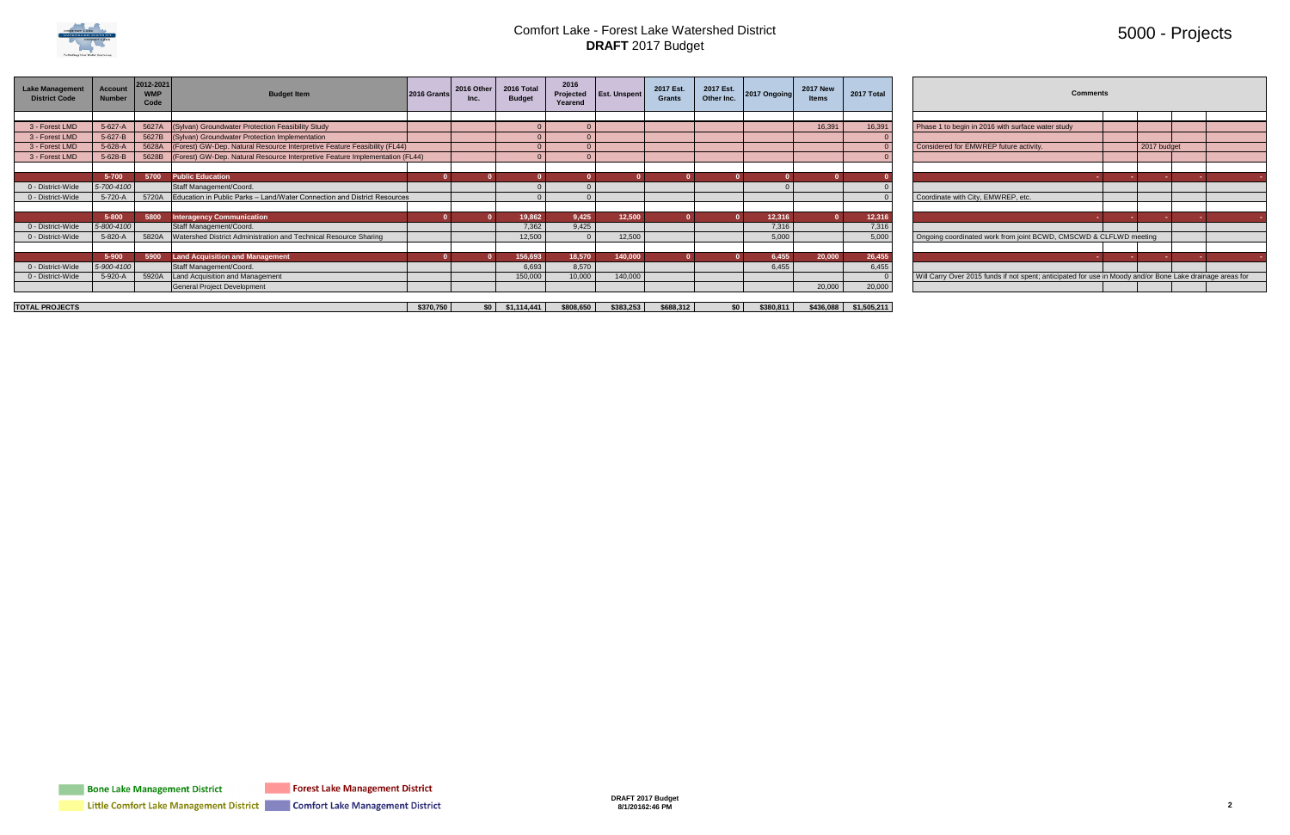

### 5000 - Projects

| <b>Lake Management</b><br><b>District Code</b> | <b>Account</b><br><b>Number</b> | 2012-2021<br><b>WMP</b><br>Code | <b>Budget Item</b>                                                           | 2016 Grants | 2016 Other      | 2016 Total<br><b>Budget</b> | 2016<br>Projected<br>Yearend | <b>Est. Unspent</b> | 2017 Est.<br>Grants | 2017 Est.<br>Other Inc. | 2017 Ongoing | <b>2017 New</b><br><b>Items</b> | 2017 Total              | <b>Comments</b>                                                                                           |             |  |
|------------------------------------------------|---------------------------------|---------------------------------|------------------------------------------------------------------------------|-------------|-----------------|-----------------------------|------------------------------|---------------------|---------------------|-------------------------|--------------|---------------------------------|-------------------------|-----------------------------------------------------------------------------------------------------------|-------------|--|
|                                                |                                 |                                 |                                                                              |             |                 |                             |                              |                     |                     |                         |              |                                 |                         |                                                                                                           |             |  |
| 3 - Forest LMD                                 | 5-627-A                         | 5627A                           | (Sylvan) Groundwater Protection Feasibility Study                            |             |                 |                             |                              |                     |                     |                         |              | 16,391                          | 16,391                  | Phase 1 to begin in 2016 with surface water study                                                         |             |  |
| 3 - Forest LMD                                 | 5-627-B                         |                                 | 5627B (Sylvan) Groundwater Protection Implementation                         |             |                 |                             |                              |                     |                     |                         |              |                                 |                         |                                                                                                           |             |  |
| 3 - Forest LMD                                 | 5-628-A                         | 5628A                           | (Forest) GW-Dep. Natural Resource Interpretive Feature Feasibility (FL44)    |             |                 |                             |                              |                     |                     |                         |              |                                 |                         | Considered for EMWREP future activity.                                                                    | 2017 budget |  |
| 3 - Forest LMD                                 | 5-628-B                         | 5628B                           | (Forest) GW-Dep. Natural Resource Interpretive Feature Implementation (FL44) |             |                 |                             |                              |                     |                     |                         |              |                                 |                         |                                                                                                           |             |  |
|                                                |                                 |                                 |                                                                              |             |                 |                             |                              |                     |                     |                         |              |                                 |                         |                                                                                                           |             |  |
|                                                | 5-700                           | 5700                            | <b>Public Education</b>                                                      |             |                 |                             |                              |                     |                     |                         |              |                                 |                         |                                                                                                           |             |  |
| 0 - District-Wide                              | 5-700-4100                      |                                 | Staff Management/Coord.                                                      |             |                 |                             |                              |                     |                     |                         |              |                                 |                         |                                                                                                           |             |  |
| 0 - District-Wide                              | 5-720-A                         | 5720A                           | Education in Public Parks - Land/Water Connection and District Resources     |             |                 |                             |                              |                     |                     |                         |              |                                 |                         | Coordinate with City, EMWREP, etc.                                                                        |             |  |
|                                                |                                 |                                 |                                                                              |             |                 |                             |                              |                     |                     |                         |              |                                 |                         |                                                                                                           |             |  |
|                                                | $5 - 800$                       | 5800                            | <b>Interagency Communication</b>                                             |             |                 | 19.862                      | 9,425                        | 12,500              |                     |                         | 12,316       |                                 | 12,316                  |                                                                                                           |             |  |
| 0 - District-Wide                              | 5-800-4100                      |                                 | Staff Management/Coord.                                                      |             |                 | 7,362                       | 9,425                        |                     |                     |                         | 7,316        |                                 | 7,316                   |                                                                                                           |             |  |
| 0 - District-Wide                              | 5-820-A                         | 5820A                           | Watershed District Administration and Technical Resource Sharing             |             |                 | 12.500                      |                              | 12,500              |                     |                         | 5,000        |                                 | 5,000                   | Ongoing coordinated work from joint BCWD, CMSCWD & CLFLWD meeting                                         |             |  |
|                                                |                                 |                                 |                                                                              |             |                 |                             |                              |                     |                     |                         |              |                                 |                         |                                                                                                           |             |  |
|                                                | 5-900                           | 5900                            | Land Acquisition and Management                                              |             |                 | 156,693                     | 18,570                       | 140,000             |                     |                         | 6,455        | 20,000                          | 26,455                  |                                                                                                           |             |  |
| 0 - District-Wide                              | 5-900-4100                      |                                 | Staff Management/Coord.                                                      |             |                 | 6.693                       | 8,570                        |                     |                     |                         | 6,455        |                                 | 6,455                   |                                                                                                           |             |  |
| 0 - District-Wide                              | 5-920-A                         | 5920A                           | Land Acquisition and Management                                              |             |                 | 150,000                     | 10,000                       | 140,000             |                     |                         |              |                                 |                         | Will Carry Over 2015 funds if not spent; anticipated for use in Moody and/or Bone Lake drainage areas for |             |  |
|                                                |                                 |                                 | <b>General Project Development</b>                                           |             |                 |                             |                              |                     |                     |                         |              | 20,000                          | 20,000                  |                                                                                                           |             |  |
|                                                |                                 |                                 |                                                                              |             |                 |                             |                              |                     |                     |                         |              |                                 |                         |                                                                                                           |             |  |
| <b>TOTAL PROJECTS</b>                          |                                 |                                 |                                                                              | \$370,750   | SO <sub>1</sub> | \$1,114,441                 | \$808,650                    | \$383,253           | \$688,312           | \$0 <sub>1</sub>        | \$380,811    |                                 | $$436,088$ $$1,505,211$ |                                                                                                           |             |  |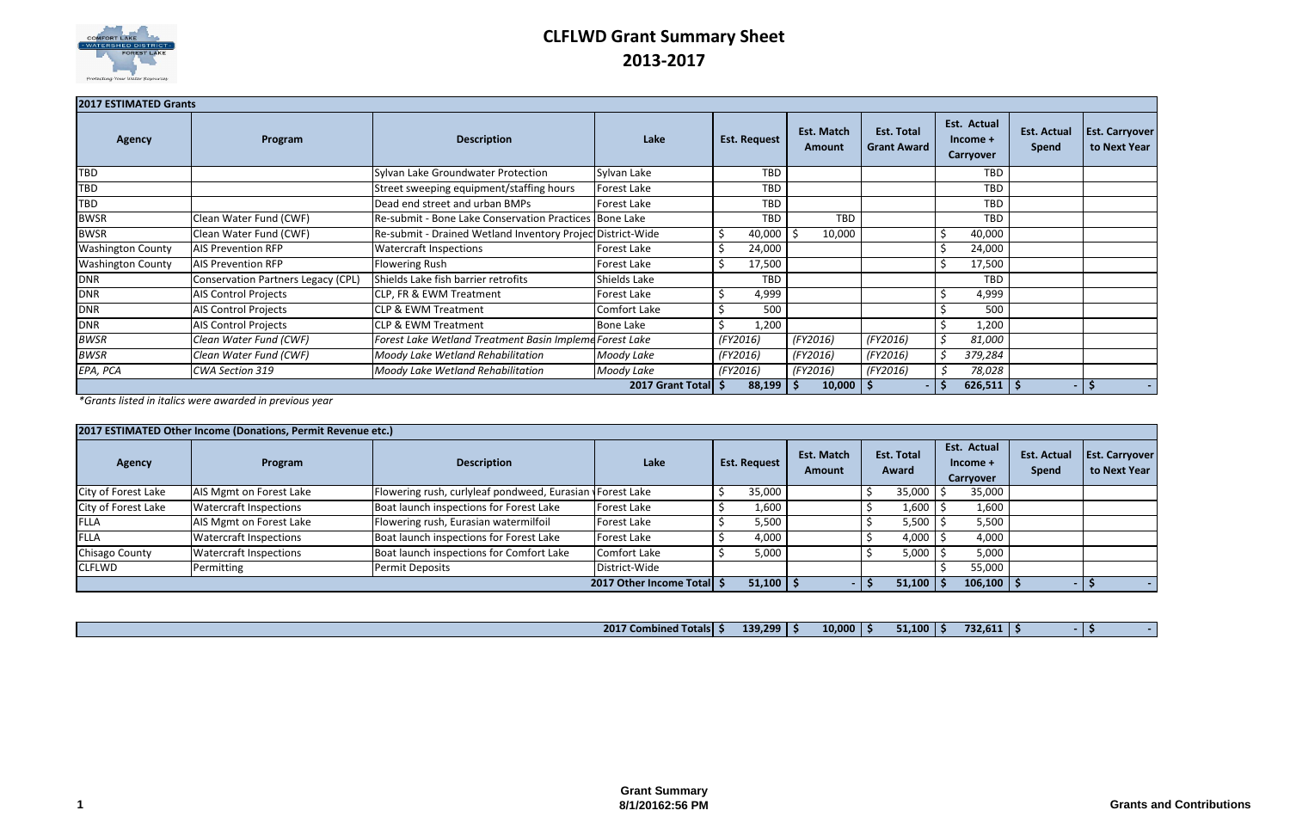

## **CLFLWD Grant Summary Sheet 2013-2017**

| <b>2017 ESTIMATED Grants</b> |                                    |                                                            |                     |                     |                             |                                         |                                        |                      |                                       |
|------------------------------|------------------------------------|------------------------------------------------------------|---------------------|---------------------|-----------------------------|-----------------------------------------|----------------------------------------|----------------------|---------------------------------------|
| <b>Agency</b>                | Program                            | <b>Description</b>                                         | Lake                | <b>Est. Request</b> | <b>Est. Match</b><br>Amount | <b>Est. Total</b><br><b>Grant Award</b> | Est. Actual<br>$Income +$<br>Carryover | Est. Actual<br>Spend | <b>Est. Carryover</b><br>to Next Year |
| TBD                          |                                    | Sylvan Lake Groundwater Protection                         | Sylvan Lake         | <b>TBD</b>          |                             |                                         | <b>TBD</b>                             |                      |                                       |
| <b>TBD</b>                   |                                    | Street sweeping equipment/staffing hours                   | Forest Lake         | TBD                 |                             |                                         | <b>TBD</b>                             |                      |                                       |
| <b>TBD</b>                   |                                    | Dead end street and urban BMPs                             | Forest Lake         | <b>TBD</b>          |                             |                                         | <b>TBD</b>                             |                      |                                       |
| <b>BWSR</b>                  | Clean Water Fund (CWF)             | Re-submit - Bone Lake Conservation Practices Bone Lake     |                     | <b>TBD</b>          | <b>TBD</b>                  |                                         | <b>TBD</b>                             |                      |                                       |
| <b>BWSR</b>                  | Clean Water Fund (CWF)             | Re-submit - Drained Wetland Inventory Projec District-Wide |                     | Ś<br>40,000         | 10,000                      |                                         | 40,000                                 |                      |                                       |
| <b>Washington County</b>     | <b>AIS Prevention RFP</b>          | <b>Watercraft Inspections</b>                              | Forest Lake         | Ś<br>24,000         |                             |                                         | 24,000                                 |                      |                                       |
| <b>Washington County</b>     | <b>AIS Prevention RFP</b>          | <b>Flowering Rush</b>                                      | Forest Lake         | Ś<br>17,500         |                             |                                         | 17,500                                 |                      |                                       |
| <b>DNR</b>                   | Conservation Partners Legacy (CPL) | Shields Lake fish barrier retrofits                        | Shields Lake        | <b>TBD</b>          |                             |                                         | <b>TBD</b>                             |                      |                                       |
| <b>DNR</b>                   | AIS Control Projects               | <b>CLP, FR &amp; EWM Treatment</b>                         | Forest Lake         | 4,999               |                             |                                         | 4,999                                  |                      |                                       |
| <b>DNR</b>                   | <b>AIS Control Projects</b>        | <b>CLP &amp; EWM Treatment</b>                             | <b>Comfort Lake</b> | 500                 |                             |                                         | 500                                    |                      |                                       |
| <b>DNR</b>                   | <b>AIS Control Projects</b>        | <b>CLP &amp; EWM Treatment</b>                             | <b>Bone Lake</b>    | 1,200               |                             |                                         | 1,200                                  |                      |                                       |
| <b>BWSR</b>                  | Clean Water Fund (CWF)             | Forest Lake Wetland Treatment Basin Impleme Forest Lake    |                     | (FY2016)            | (FY2016)                    | (FY2016)                                | 81,000                                 |                      |                                       |
| <b>BWSR</b>                  | Clean Water Fund (CWF)             | Moody Lake Wetland Rehabilitation                          | Moody Lake          | (FY2016)            | (FY2016)                    | (FY2016)                                | 379,284                                |                      |                                       |
| EPA, PCA                     | CWA Section 319                    | Moody Lake Wetland Rehabilitation                          | Moody Lake          | (FY2016)            | (FY2016)                    | (FY2016)                                | 78,028                                 |                      |                                       |
|                              |                                    |                                                            | 2017 Grant Total \$ | $88,199$   \$       | $10,000$   \$               |                                         | $626,511$   \$                         | $\sim$               | ১                                     |

*\*Grants listed in italics were awarded in previous year*

|                     | 2017 ESTIMATED Other Income (Donations, Permit Revenue etc.) |                                                           |                              |                     |                                    |                            |                                        |                             |                                       |
|---------------------|--------------------------------------------------------------|-----------------------------------------------------------|------------------------------|---------------------|------------------------------------|----------------------------|----------------------------------------|-----------------------------|---------------------------------------|
| <b>Agency</b>       | Program                                                      | <b>Description</b>                                        | Lake                         | <b>Est. Request</b> | <b>Est. Match</b><br><b>Amount</b> | <b>Est. Total</b><br>Award | Est. Actual<br>$Income +$<br>Carryover | <b>Est. Actual</b><br>Spend | <b>Est. Carryover</b><br>to Next Year |
| City of Forest Lake | AIS Mgmt on Forest Lake                                      | Flowering rush, curlyleaf pondweed, Eurasian \Forest Lake |                              | 35,000              |                                    | 35,000                     | 35,000                                 |                             |                                       |
| City of Forest Lake | <b>Watercraft Inspections</b>                                | Boat launch inspections for Forest Lake                   | Forest Lake                  | 1,600'              |                                    | 1,600                      | 1,600                                  |                             |                                       |
| FLLA                | AIS Mgmt on Forest Lake                                      | Flowering rush, Eurasian watermilfoil                     | Forest Lake                  | 5,500               |                                    | 5,500                      | 5,500                                  |                             |                                       |
| FLLA                | <b>Watercraft Inspections</b>                                | Boat launch inspections for Forest Lake                   | Forest Lake                  | 4,000               |                                    | 4,000                      | 4,000                                  |                             |                                       |
| Chisago County      | <b>Watercraft Inspections</b>                                | Boat launch inspections for Comfort Lake                  | Comfort Lake                 | 5,000               |                                    | 5,000                      | 5,000                                  |                             |                                       |
| <b>CLFLWD</b>       | Permitting                                                   | <b>Permit Deposits</b>                                    | District-Wide                |                     |                                    |                            | 55,000                                 |                             |                                       |
|                     |                                                              |                                                           | 2017 Other Income Total   \$ | 51,100              |                                    | 51,100                     | 106,100                                |                             |                                       |

| 2017 <sub>1</sub><br>. .<br><b><i><u>'Totalsh</u></i></b><br>Lombined <b>L</b> | 139.299 | 10,000 | - - -<br>$-1.100$ | --- -<br>. .<br>757. |  |  |
|--------------------------------------------------------------------------------|---------|--------|-------------------|----------------------|--|--|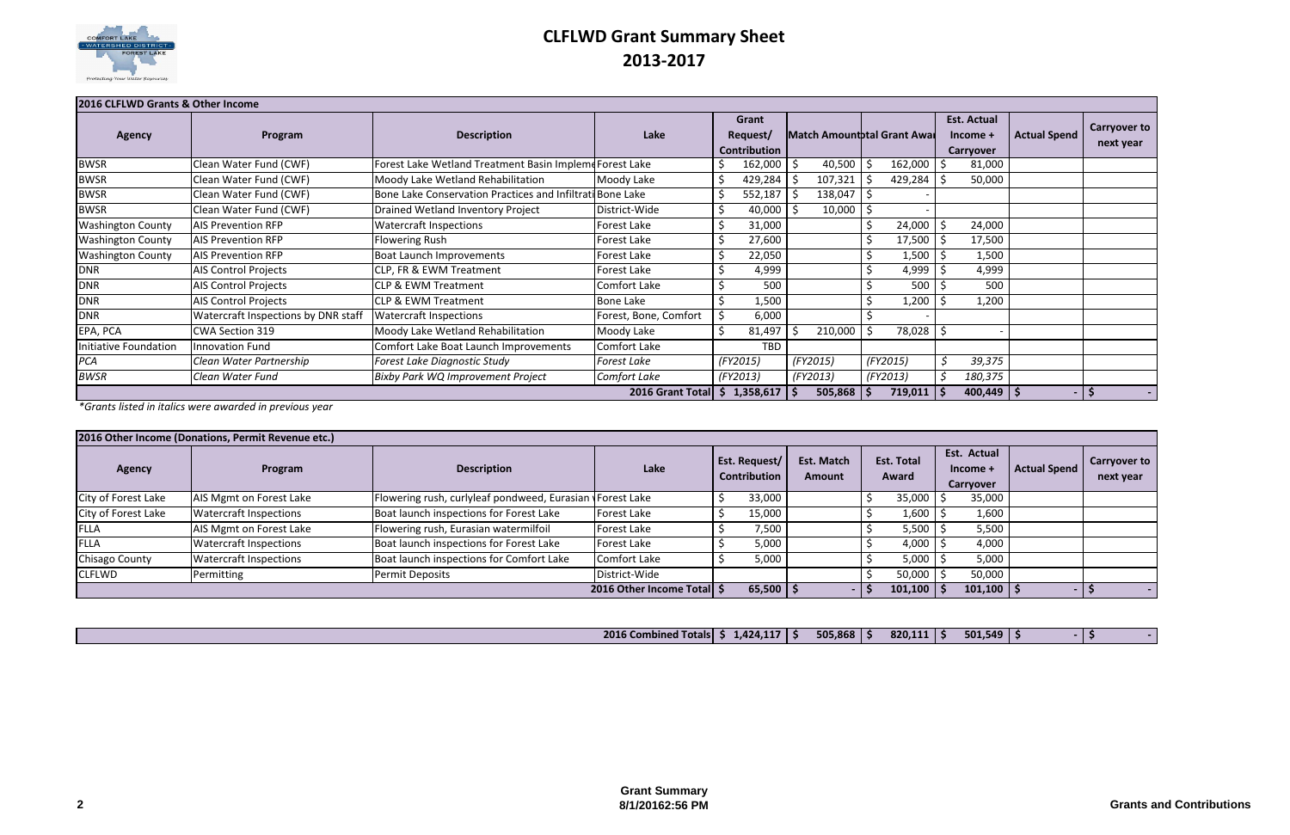

# **CLFLWD Grant Summary Sheet 2013-2017**

| 2016 CLFLWD Grants & Other Income |                                     |                                                           |                       |                 |    |                |                              |                    |                     |                     |
|-----------------------------------|-------------------------------------|-----------------------------------------------------------|-----------------------|-----------------|----|----------------|------------------------------|--------------------|---------------------|---------------------|
|                                   |                                     |                                                           |                       | Grant           |    |                |                              | <b>Est. Actual</b> |                     |                     |
| <b>Agency</b>                     | Program                             | <b>Description</b>                                        | Lake                  | Request/        |    |                | Match Amount btal Grant Awar | Income +           | <b>Actual Spend</b> | <b>Carryover to</b> |
|                                   |                                     |                                                           |                       | Contribution    |    |                |                              | Carryover          |                     | next year           |
| <b>BWSR</b>                       | Clean Water Fund (CWF)              | Forest Lake Wetland Treatment Basin Impleme Forest Lake   |                       | 162,000         |    | 40,500         | 162,000                      | 81,000             |                     |                     |
| <b>BWSR</b>                       | Clean Water Fund (CWF)              | Moody Lake Wetland Rehabilitation                         | Moody Lake            | 429,284         |    | 107,321        | 429,284                      | 50,000             |                     |                     |
| <b>BWSR</b>                       | Clean Water Fund (CWF)              | Bone Lake Conservation Practices and Infiltrati Bone Lake |                       | 552,187         |    | 138,047        |                              |                    |                     |                     |
| <b>BWSR</b>                       | Clean Water Fund (CWF)              | Drained Wetland Inventory Project                         | District-Wide         | 40,000          |    | 10,000         |                              |                    |                     |                     |
| <b>Washington County</b>          | <b>AIS Prevention RFP</b>           | <b>Watercraft Inspections</b>                             | Forest Lake           | 31,000          |    |                | 24,000                       | 24,000             |                     |                     |
| <b>Washington County</b>          | <b>AIS Prevention RFP</b>           | Flowering Rush                                            | Forest Lake           | 27,600          |    |                | 17,500                       | 17,500             |                     |                     |
| <b>Washington County</b>          | <b>AIS Prevention RFP</b>           | Boat Launch Improvements                                  | Forest Lake           | 22,050          |    |                | 1,500                        | 1,500              |                     |                     |
| <b>DNR</b>                        | <b>AIS Control Projects</b>         | CLP, FR & EWM Treatment                                   | Forest Lake           | 4,999           |    |                | 4,999                        | 4,999              |                     |                     |
| <b>DNR</b>                        | <b>AIS Control Projects</b>         | CLP & EWM Treatment                                       | Comfort Lake          | 500             |    |                | 500                          | 500                |                     |                     |
| <b>DNR</b>                        | <b>AIS Control Projects</b>         | <b>CLP &amp; EWM Treatment</b>                            | <b>Bone Lake</b>      | 1,500           |    |                | 1,200                        | 1,200              |                     |                     |
| <b>DNR</b>                        | Watercraft Inspections by DNR staff | <b>Watercraft Inspections</b>                             | Forest, Bone, Comfort | 6,000           |    |                |                              |                    |                     |                     |
| EPA, PCA                          | <b>CWA Section 319</b>              | Moody Lake Wetland Rehabilitation                         | Moody Lake            | 81,497          |    | 210,000        | 78,028                       |                    |                     |                     |
| Initiative Foundation             | <b>Innovation Fund</b>              | Comfort Lake Boat Launch Improvements                     | Comfort Lake          | <b>TBD</b>      |    |                |                              |                    |                     |                     |
| PCA                               | Clean Water Partnership             | Forest Lake Diagnostic Study                              | <b>Forest Lake</b>    | (FY2015)        |    | (FY2015)       | (FY2015)                     | 39,375             |                     |                     |
| <b>BWSR</b>                       | Clean Water Fund                    | <b>Bixby Park WQ Improvement Project</b>                  | Comfort Lake          | (FY2013)        |    | (FY2013)       | (FY2013)                     | 180,375            |                     |                     |
|                                   |                                     |                                                           | 2016 Grant Total      | \$<br>1,358,617 | -S | $505,868$   \$ | 719,011   \$                 | $400,449$ \$       |                     | -5                  |

*\*Grants listed in italics were awarded in previous year*

|                     | 2016 Other Income (Donations, Permit Revenue etc.) |                                                           |                            |                                      |                             |                            |                                      |                     |                                  |
|---------------------|----------------------------------------------------|-----------------------------------------------------------|----------------------------|--------------------------------------|-----------------------------|----------------------------|--------------------------------------|---------------------|----------------------------------|
| <b>Agency</b>       | Program                                            | <b>Description</b>                                        | Lake                       | Est. Request/<br><b>Contribution</b> | Est. Match<br><b>Amount</b> | <b>Est. Total</b><br>Award | Est. Actual<br>Income +<br>Carryover | <b>Actual Spend</b> | <b>Carryover to</b><br>next year |
| City of Forest Lake | AIS Mgmt on Forest Lake                            | Flowering rush, curlyleaf pondweed, Eurasian \Forest Lake |                            | 33,000                               |                             | 35,000                     | 35,000                               |                     |                                  |
| City of Forest Lake | <b>Watercraft Inspections</b>                      | Boat launch inspections for Forest Lake                   | Forest Lake                | 15,000                               |                             | 1,600                      | 1,600                                |                     |                                  |
| <b>FLLA</b>         | AIS Mgmt on Forest Lake                            | Flowering rush, Eurasian watermilfoil                     | Forest Lake                | 7,500                                |                             | 5,500                      | 5,500                                |                     |                                  |
| <b>FLLA</b>         | <b>Watercraft Inspections</b>                      | Boat launch inspections for Forest Lake                   | Forest Lake                | 5,000                                |                             | 4,000                      | 4,000                                |                     |                                  |
| Chisago County      | <b>Watercraft Inspections</b>                      | Boat launch inspections for Comfort Lake                  | Comfort Lake               | 5,000                                |                             | 5,000                      | 5,000                                |                     |                                  |
| <b>CLFLWD</b>       | Permitting                                         | Permit Deposits                                           | District-Wide              |                                      |                             | 50,000                     | 50,000                               |                     |                                  |
|                     |                                                    |                                                           | 2016 Other Income Total \$ | $65,500$   \$                        |                             | 101,100                    | 101,100                              |                     |                                  |

|--|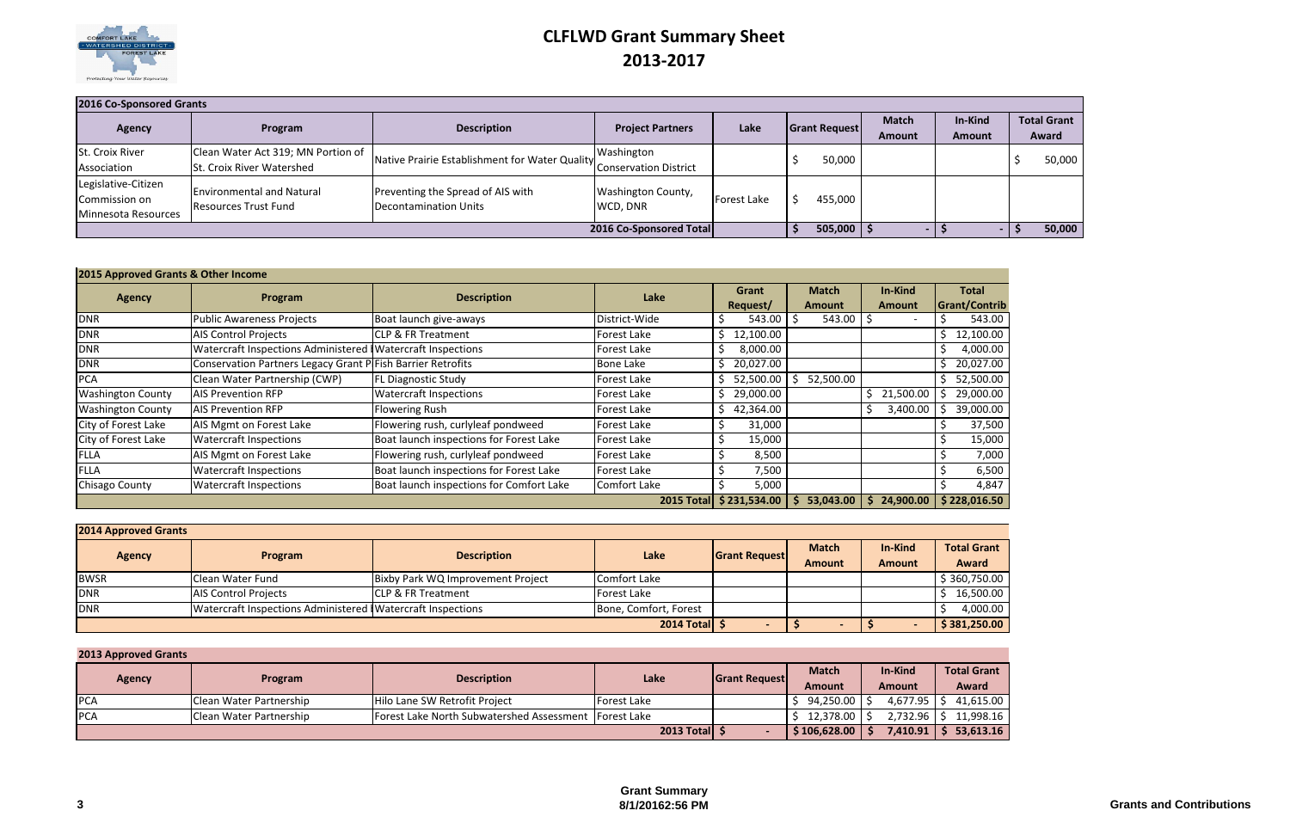

# **CLFLWD Grant Summary Sheet 2013-2017**

| 2016 Co-Sponsored Grants                                    |                                                                        |                                                            |                                            |                     |                      |                               |                          |                             |
|-------------------------------------------------------------|------------------------------------------------------------------------|------------------------------------------------------------|--------------------------------------------|---------------------|----------------------|-------------------------------|--------------------------|-----------------------------|
| <b>Agency</b>                                               | Program                                                                | <b>Description</b>                                         | <b>Project Partners</b>                    | Lake                | <b>Grant Request</b> | <b>Match</b><br><b>Amount</b> | In-Kind<br><b>Amount</b> | <b>Total Grant</b><br>Award |
| St. Croix River<br>Association                              | Clean Water Act 319; MN Portion of<br><b>St. Croix River Watershed</b> | Native Prairie Establishment for Water Quality             | Washington<br><b>Conservation District</b> |                     | 50,000               |                               |                          | 50,000                      |
| Legislative-Citizen<br>Commission on<br>Minnesota Resources | <b>Environmental and Natural</b><br>Resources Trust Fund               | Preventing the Spread of AIS with<br>Decontamination Units | <b>Washington County,</b><br>WCD, DNR      | <b>IForest Lake</b> | 455,000              |                               |                          |                             |
|                                                             |                                                                        |                                                            | 2016 Co-Sponsored Total                    |                     | 505,000              |                               |                          | 50,000                      |

| 2015 Approved Grants & Other Income |                                                              |                                          |                    |                |                |                       |                 |
|-------------------------------------|--------------------------------------------------------------|------------------------------------------|--------------------|----------------|----------------|-----------------------|-----------------|
| <b>Agency</b>                       | Program                                                      | <b>Description</b>                       | Lake               | Grant          | <b>Match</b>   | In-Kind               | <b>Total</b>    |
|                                     |                                                              |                                          |                    | Request/       | <b>Amount</b>  | Amount                | Grant/Contrib   |
| <b>DNR</b>                          | <b>Public Awareness Projects</b>                             | Boat launch give-aways                   | District-Wide      | 543.00         | 543.00         |                       | 543.00          |
| <b>DNR</b>                          | <b>AIS Control Projects</b>                                  | <b>CLP &amp; FR Treatment</b>            | <b>Forest Lake</b> | 12,100.00<br>S |                |                       | 12,100.00<br>Ś. |
| <b>DNR</b>                          | Watercraft Inspections Administered   Watercraft Inspections |                                          | <b>Forest Lake</b> | 8,000.00       |                |                       | 4,000.00        |
| <b>DNR</b>                          | Conservation Partners Legacy Grant P Fish Barrier Retrofits  |                                          | <b>Bone Lake</b>   | 20,027.00      |                |                       | 20,027.00       |
| <b>PCA</b>                          | Clean Water Partnership (CWP)                                | <b>FL Diagnostic Study</b>               | Forest Lake        | 52,500.00      | 52,500.00<br>5 |                       | 52,500.00<br>S. |
| <b>Washington County</b>            | <b>AIS Prevention RFP</b>                                    | <b>Watercraft Inspections</b>            | Forest Lake        | 29,000.00<br>S |                | Ŝ.<br>21,500.00       | 29,000.00       |
| <b>Washington County</b>            | <b>AIS Prevention RFP</b>                                    | <b>Flowering Rush</b>                    | Forest Lake        | 42,364.00      |                | 3,400.00              | 39,000.00       |
| City of Forest Lake                 | AIS Mgmt on Forest Lake                                      | Flowering rush, curlyleaf pondweed       | Forest Lake        | 31,000         |                |                       | 37,500          |
| City of Forest Lake                 | <b>Watercraft Inspections</b>                                | Boat launch inspections for Forest Lake  | Forest Lake        | 15,000         |                |                       | 15,000          |
| <b>FLLA</b>                         | AIS Mgmt on Forest Lake                                      | Flowering rush, curlyleaf pondweed       | <b>Forest Lake</b> | 8,500          |                |                       | 7,000           |
| <b>FLLA</b>                         | <b>Watercraft Inspections</b>                                | Boat launch inspections for Forest Lake  | Forest Lake        | 7,500<br>C     |                |                       | 6,500           |
| Chisago County                      | <b>Watercraft Inspections</b>                                | Boat launch inspections for Comfort Lake | Comfort Lake       | 5,000          |                |                       | 4,847           |
|                                     |                                                              |                                          | <b>2015 Total</b>  | \$231,534.00   | 53,043.00<br>S | 24,900.00<br><b>S</b> | \$228,016.50    |

| <b>2014 Approved Grants</b> |                                                            |                                   |                       |                      |                               |                          |                             |
|-----------------------------|------------------------------------------------------------|-----------------------------------|-----------------------|----------------------|-------------------------------|--------------------------|-----------------------------|
| <b>Agency</b>               | Program                                                    | <b>Description</b>                | Lake                  | <b>Grant Request</b> | <b>Match</b><br><b>Amount</b> | In-Kind<br><b>Amount</b> | <b>Total Grant</b><br>Award |
| <b>BWSR</b>                 | Clean Water Fund                                           | Bixby Park WQ Improvement Project | Comfort Lake          |                      |                               |                          | \$360,750.00                |
| <b>DNR</b>                  | <b>AIS Control Projects</b>                                | <b>CLP &amp; FR Treatment</b>     | Forest Lake           |                      |                               |                          | 16,500.00                   |
| <b>DNR</b>                  | Watercraft Inspections Administered Watercraft Inspections |                                   | Bone, Comfort, Forest |                      |                               |                          | 4,000.00                    |
|                             |                                                            |                                   | $2014$ Total          |                      |                               |                          | \$381,250.00                |

#### **2013 Approved Grants**

| $-0.10$       |                         |                                                         |                    |                      | <b>Match</b>  | In-Kind       | <b>Total Grant</b> |
|---------------|-------------------------|---------------------------------------------------------|--------------------|----------------------|---------------|---------------|--------------------|
| <b>Agency</b> | Program                 | <b>Description</b>                                      | Lake               | <b>Grant Request</b> | <b>Amount</b> | <b>Amount</b> | Award              |
| PCA           | Clean Water Partnership | Hilo Lane SW Retrofit Project                           | Forest Lake        |                      | 94,250.00     | $4,677.95$ S  | 41,615.00          |
| <b>PCA</b>    | Clean Water Partnership | Forest Lake North Subwatershed Assessment   Forest Lake |                    |                      | 12,378.00     | 2,732.96      | 11,998.16          |
|               |                         |                                                         | 2013 Total $\oint$ |                      | \$106,628.00  | 7,410.91      | 53,613.16          |